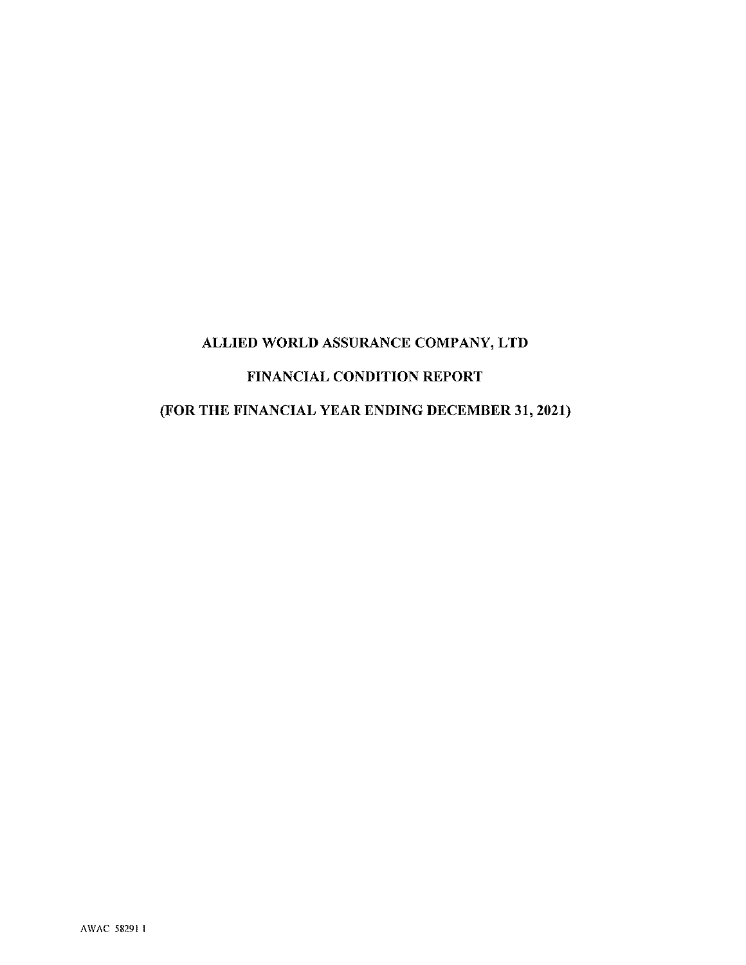# ALLIED WORLD ASSURANCE COMPANY, LTD FINANCIAL CONDITION REPORT (FOR THE FINANCIAL YEAR ENDING DECEMBER 31, 2021)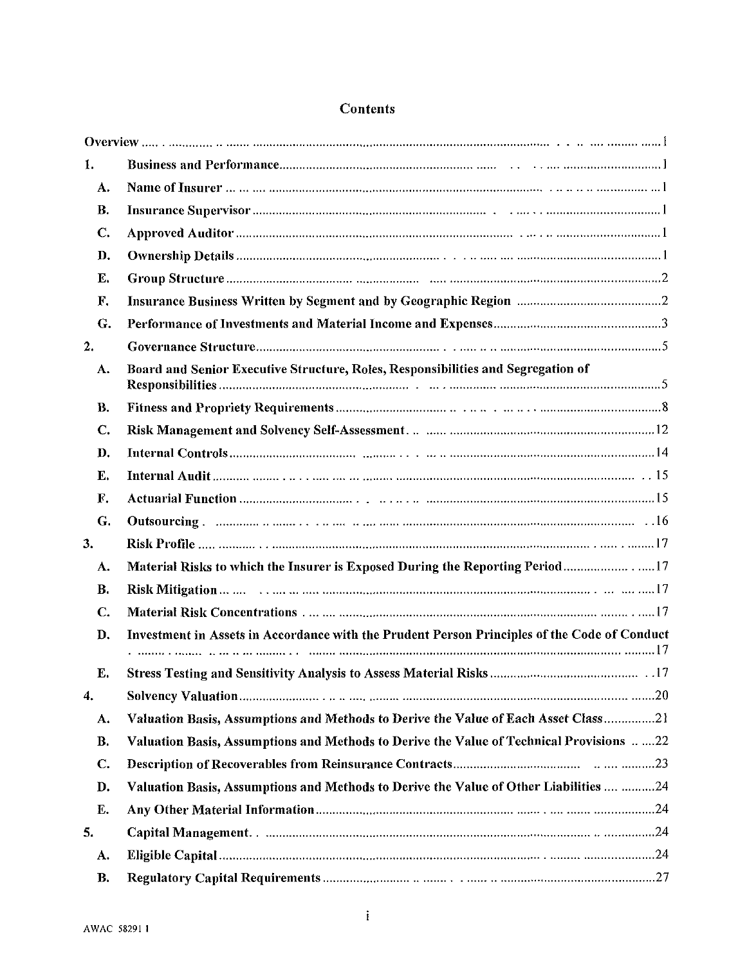| 1.            |                                                                                              |
|---------------|----------------------------------------------------------------------------------------------|
| A.            |                                                                                              |
| В.            |                                                                                              |
| C.            |                                                                                              |
| D.            |                                                                                              |
| Ε.            |                                                                                              |
| F.            |                                                                                              |
| G.            |                                                                                              |
| 2.            |                                                                                              |
| A.            | Board and Senior Executive Structure, Roles, Responsibilities and Segregation of             |
| B.            |                                                                                              |
| C.            |                                                                                              |
| D.            |                                                                                              |
| E.            |                                                                                              |
| F.            |                                                                                              |
| G.            |                                                                                              |
| 3.            |                                                                                              |
| A.            |                                                                                              |
| В.            |                                                                                              |
| C.            |                                                                                              |
| D.            | Investment in Assets in Accordance with the Prudent Person Principles of the Code of Conduct |
| E.            |                                                                                              |
| 4.            |                                                                                              |
| A.            | Valuation Basis, Assumptions and Methods to Derive the Value of Each Asset Class21           |
| <b>B.</b>     | Valuation Basis, Assumptions and Methods to Derive the Value of Technical Provisions 22      |
| $C_{\bullet}$ |                                                                                              |
| D.            | Valuation Basis, Assumptions and Methods to Derive the Value of Other Liabilities  24        |
| E.            |                                                                                              |
| 5.            |                                                                                              |
| A.            |                                                                                              |
| В.            |                                                                                              |

# **Contents**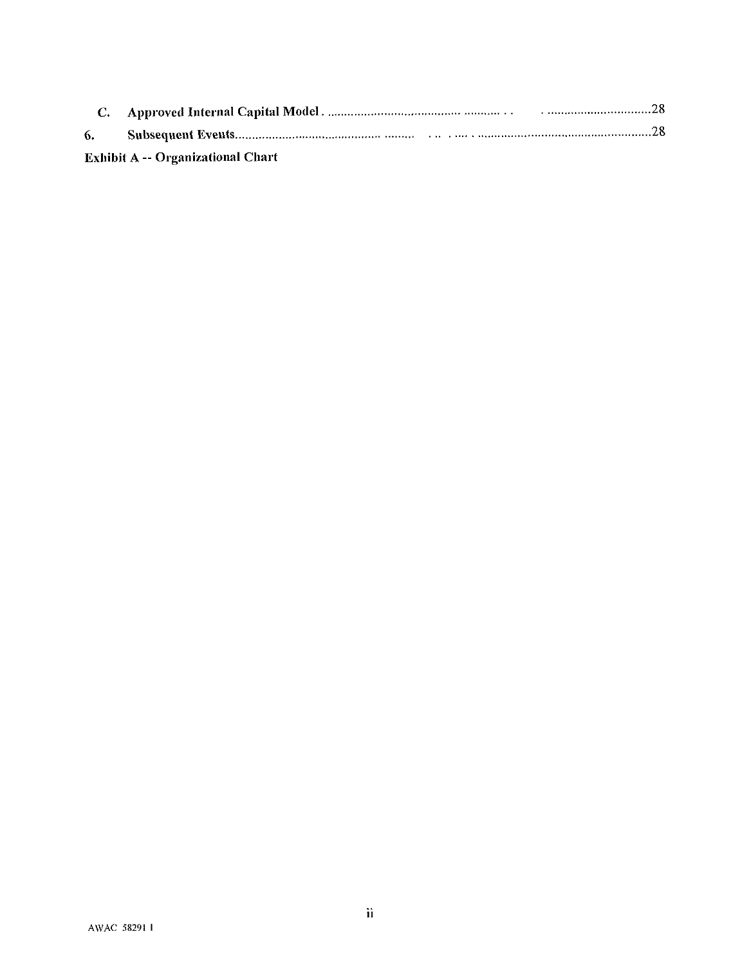| 6. |                                          |
|----|------------------------------------------|
|    | <b>Exhibit A -- Organizational Chart</b> |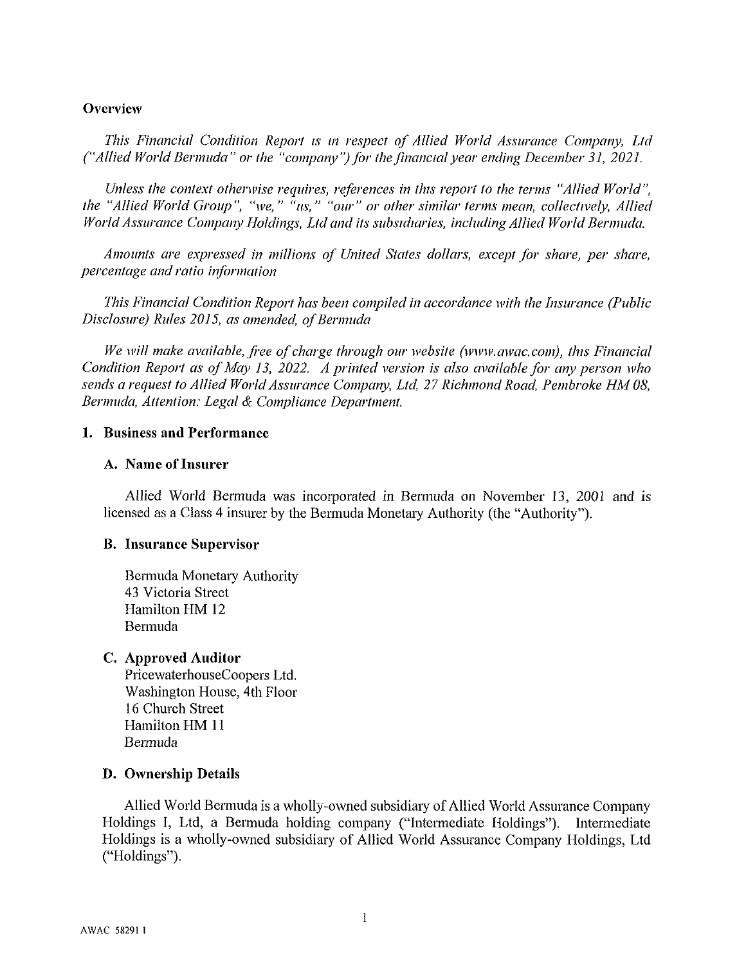#### Overview

This Financial Condition Report is in respect of Allied World Assurance Company, Ltd ("Allied World Bermuda" or the "company") for the financial year ending December 31, 2021.

Unless the context otherwise requires, references in this report to the terms "Allied World". the "Allied World Group", "we," "us," "our" or other similar terms mean, collectively, Allied World Assurance Company Holdings, Ltd and its subsidiaries, including Allied World Bermuda,

Amounts are expressed in millions of United States dollars, except for share, per share, percentage and ratio information

This Financial Condition Report has been compiled in accordance with the Insurance (Public Disclosure) Rules 2015, as amended, of Bermuda

We will make available, free of charge through our website (www.awac.com), this Financial Condition Report as of May 13, 2022. A printed version is also available for any person who sends a request to Allied World Assurance Company, Ltd, 27 Richmond Road, Pembroke HM 08, Bermuda, Attention: Legal & Compliance Department.

#### 1. Business and Performance

#### A. Name of Insurer

Allied World Bermuda was incorporated in Bermuda on November 13, 2001 and is licensed as a Class 4 insurer by the Bermuda Monetary Authority (the "Authority").

#### **B.** Insurance Supervisor

Bermuda Monetary Authority 43 Victoria Street Hamilton HM 12 **Bermuda** 

#### C. Approved Auditor

PricewaterhouseCoopers Ltd. Washington House, 4th Floor 16 Church Street Hamilton HM 11 Bermuda

#### D. Ownership Details

Allied World Bermuda is a wholly-owned subsidiary of Allied World Assurance Company Holdings I, Ltd, a Bermuda holding company ("Intermediate Holdings"). Intermediate Holdings is a wholly-owned subsidiary of Allied World Assurance Company Holdings, Ltd ("Holdings").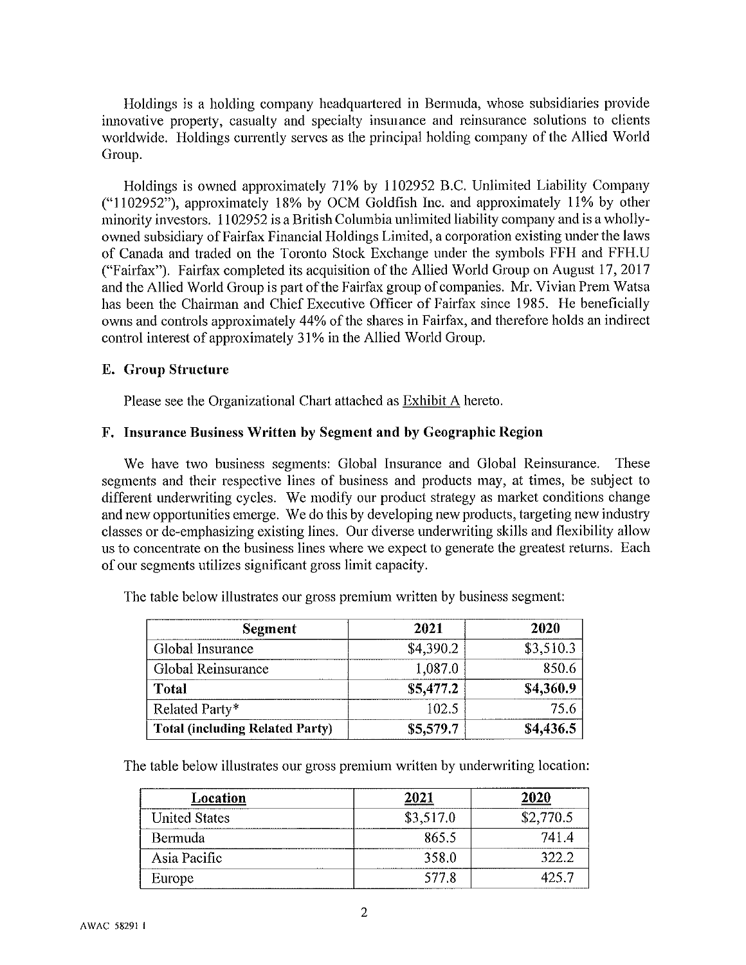Holdings is a holding company headquartered in Bermuda, whose subsidiaries provide innovative property, casualty and specialty insurance and reinsurance solutions to clients worldwide. Holdings currently serves as the principal holding company of the Allied World Group.

Holdings is owned approximately 71% by 1102952 B.C. Unlimited Liability Company ("1102952"), approximately 18% by OCM Goldfish Inc. and approximately 11% by other minority investors. 1102952 is a British Columbia unlimited liability company and is a whollyowned subsidiary of Fairfax Financial Holdings Limited, a corporation existing under the laws of Canada and traded on the Toronto Stock Exchange under the symbols FFH and FFH.U ("Fairfax"). Fairfax completed its acquisition of the Allied World Group on August 17, 2017 and the Allied World Group is part of the Fairfax group of companies. Mr. Vivian Prem Watsa has been the Chairman and Chief Executive Officer of Fairfax since 1985. He beneficially owns and controls approximately 44% of the shares in Fairfax, and therefore holds an indirect control interest of approximately 31% in the Allied World Group.

#### **E.** Group Structure

Please see the Organizational Chart attached as Exhibit A hereto.

#### F. Insurance Business Written by Segment and by Geographic Region

We have two business segments: Global Insurance and Global Reinsurance. These segments and their respective lines of business and products may, at times, be subject to different underwriting cycles. We modify our product strategy as market conditions change and new opportunities emerge. We do this by developing new products, targeting new industry classes or de-emphasizing existing lines. Our diverse underwriting skills and flexibility allow us to concentrate on the business lines where we expect to generate the greatest returns. Each of our segments utilizes significant gross limit capacity.

| Segment                                | 2021      | 2020      |
|----------------------------------------|-----------|-----------|
| Global Insurance                       | \$4,390.2 | \$3,510.3 |
| Global Reinsurance                     | 1,087.0   | 850.6     |
| Total                                  | \$5,477.2 | \$4,360.9 |
| Related Party*                         | 102.5     | 75.6      |
| <b>Total (including Related Party)</b> | \$5,579.7 | \$4,436.5 |

The table below illustrates our gross premium written by business segment:

The table below illustrates our gross premium written by underwriting location:

| Location             | 2021      | 2020      |
|----------------------|-----------|-----------|
| <b>United States</b> | \$3,517.0 | \$2,770.5 |
| Bermuda              | 865.5     | 741.4     |
| Asia Pacific         | 358.0     | 322.2     |
| Europe               | 577.8     | 25.7      |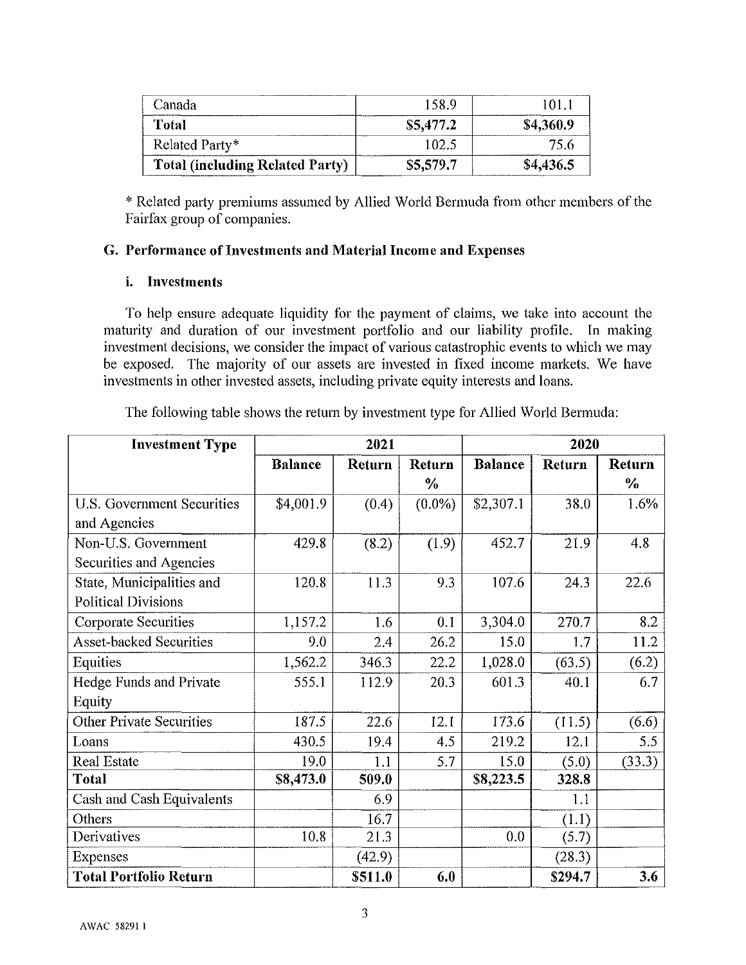| Canada                                 | 158.9             | 10 L.     |
|----------------------------------------|-------------------|-----------|
| Total                                  | \$5,477.2         | \$4,360.9 |
| Related Party*                         | LO <sub>2</sub> . | 75.6      |
| <b>Total (including Related Party)</b> | \$5,579.7         | \$4,436.5 |

\* Related party premiums assumed by Allied World Bermuda from other members of the Fairfax group of companies.

#### G. Performance of Investments and Material Income and Expenses

#### i. Investments

To help ensure adequate liquidity for the payment of claims, we take into account the maturity and duration of our investment portfolio and our liability profile. In making investment decisions, we consider the impact of various catastrophic events to which we may be exposed. The majority of our assets are invested in fixed income markets. We have investments in other invested assets, including private equity interests and loans.

**Investment Type** 2021 2020 **Balance Balance Return** Return **Return Return**  $\frac{0}{6}$  $\frac{0}{6}$  $1.6%$ **U.S. Government Securities** \$4,001.9  $(0.4)$  $(0.0\%)$ \$2,307.1 38.0 and Agencies Non-U.S. Government 429.8 452.7 21.9 4.8  $(8.2)$  $(1.9)$ Securities and Agencies State, Municipalities and 120.8 11.3 9.3 107.6 24.3 22.6 **Political Divisions Corporate Securities** 1,157.2 1.6  $0.1$ 3,304.0 270.7 8.2 **Asset-backed Securities** 9.0 2.4 26.2  $15.0$ 11.2  $1.7$ Equities 1,562.2 346.3  $22.2$ 1,028.0  $(63.5)$  $(6.2)$ Hedge Funds and Private 555.1 112.9 20.3 601.3 40.1 6.7 Equity **Other Private Securities** 187.5 22.6 173.6  $12.1$  $(11.5)$  $(6.6)$ Loans 430.5 19.4 4.5 219.2 12.1 5.5 19.0 15.0 **Real Estate**  $1.1$ 5.7  $(5.0)$  $(33.3)$ **Total** \$8,473.0 509.0 \$8,223.5 328.8 Cash and Cash Equivalents 6.9  $1.1$ **Others** 16.7  $(1.1)$ Derivatives 10.8  $21.3$  $0.0$  $(5.7)$  $(42.9)$  $(28.3)$ **Expenses Total Portfolio Return** \$511.0 \$294.7 6.0 3.6

The following table shows the return by investment type for Allied World Bermuda: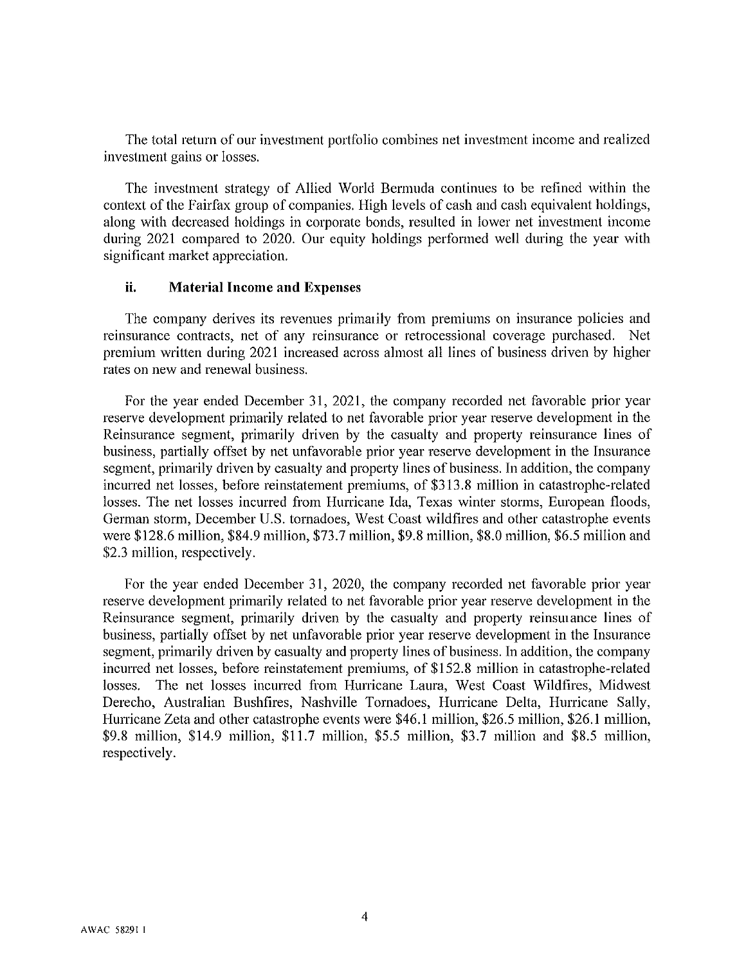The total return of our investment portfolio combines net investment income and realized investment gains or losses.

The investment strategy of Allied World Bermuda continues to be refined within the context of the Fairfax group of companies. High levels of cash and cash equivalent holdings, along with decreased holdings in corporate bonds, resulted in lower net investment income during 2021 compared to 2020. Our equity holdings performed well during the year with significant market appreciation.

#### ii. **Material Income and Expenses**

The company derives its revenues primarily from premiums on insurance policies and reinsurance contracts, net of any reinsurance or retrocessional coverage purchased. Net premium written during 2021 increased across almost all lines of business driven by higher rates on new and renewal business.

For the year ended December 31, 2021, the company recorded net favorable prior year reserve development primarily related to net favorable prior year reserve development in the Reinsurance segment, primarily driven by the casualty and property reinsurance lines of business, partially offset by net unfavorable prior year reserve development in the Insurance segment, primarily driven by casualty and property lines of business. In addition, the company incurred net losses, before reinstatement premiums, of \$313.8 million in catastrophe-related losses. The net losses incurred from Hurricane Ida, Texas winter storms, European floods, German storm, December U.S. tornadoes, West Coast wildfires and other catastrophe events were \$128.6 million, \$84.9 million, \$73.7 million, \$9.8 million, \$8.0 million, \$6.5 million and \$2.3 million, respectively.

For the year ended December 31, 2020, the company recorded net favorable prior year reserve development primarily related to net favorable prior year reserve development in the Reinsurance segment, primarily driven by the casualty and property reinsurance lines of business, partially offset by net unfavorable prior year reserve development in the Insurance segment, primarily driven by casualty and property lines of business. In addition, the company incurred net losses, before reinstatement premiums, of \$152.8 million in catastrophe-related The net losses incurred from Hurricane Laura, West Coast Wildfires, Midwest losses. Derecho, Australian Bushfires, Nashville Tornadoes, Hurricane Delta, Hurricane Sally, Hurricane Zeta and other catastrophe events were \$46.1 million, \$26.5 million, \$26.1 million, \$9.8 million, \$14.9 million, \$11.7 million, \$5.5 million, \$3.7 million and \$8.5 million, respectively.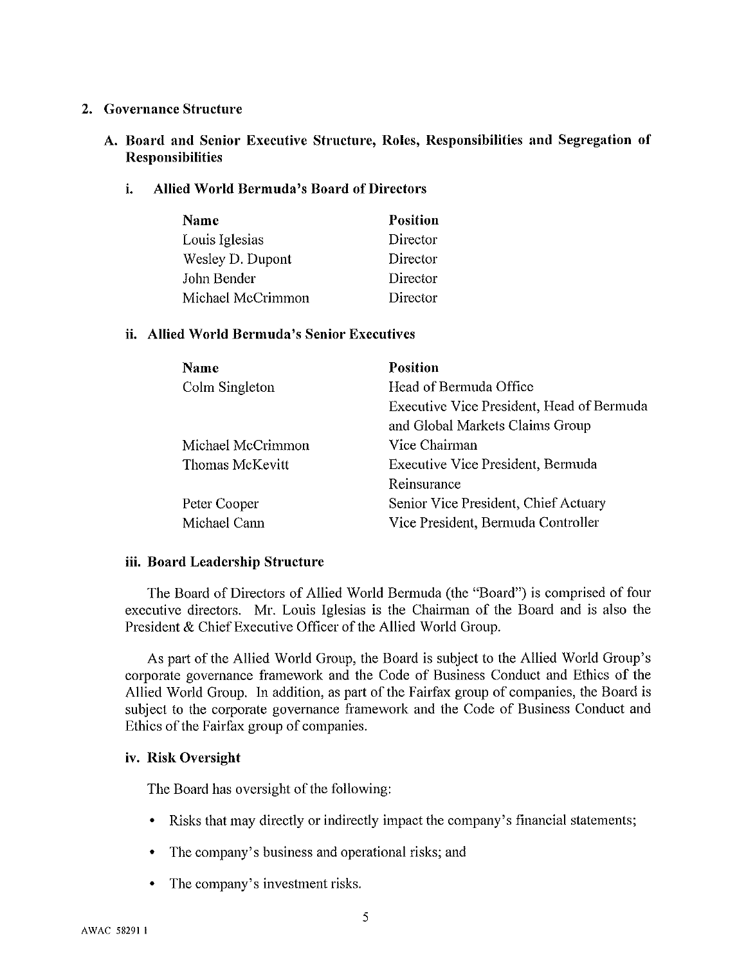#### 2. Governance Structure

#### A. Board and Senior Executive Structure, Roles, Responsibilities and Segregation of **Responsibilities**

#### i. **Allied World Bermuda's Board of Directors**

| Name              | <b>Position</b> |
|-------------------|-----------------|
| Louis Iglesias    | Director        |
| Wesley D. Dupont  | Director        |
| John Bender       | Director        |
| Michael McCrimmon | Director        |

#### ii. Allied World Bermuda's Senior Executives

| Name              | <b>Position</b>                           |
|-------------------|-------------------------------------------|
| Colm Singleton    | Head of Bermuda Office                    |
|                   | Executive Vice President, Head of Bermuda |
|                   | and Global Markets Claims Group           |
| Michael McCrimmon | Vice Chairman                             |
| Thomas McKevitt   | Executive Vice President, Bermuda         |
|                   | Reinsurance                               |
| Peter Cooper      | Senior Vice President, Chief Actuary      |
| Michael Cann      | Vice President, Bermuda Controller        |

#### iii. Board Leadership Structure

The Board of Directors of Allied World Bermuda (the "Board") is comprised of four executive directors. Mr. Louis Iglesias is the Chairman of the Board and is also the President & Chief Executive Officer of the Allied World Group.

As part of the Allied World Group, the Board is subject to the Allied World Group's corporate governance framework and the Code of Business Conduct and Ethics of the Allied World Group. In addition, as part of the Fairfax group of companies, the Board is subject to the corporate governance framework and the Code of Business Conduct and Ethics of the Fairfax group of companies.

#### iv. Risk Oversight

The Board has oversight of the following:

- Risks that may directly or indirectly impact the company's financial statements;
- The company's business and operational risks; and
- The company's investment risks.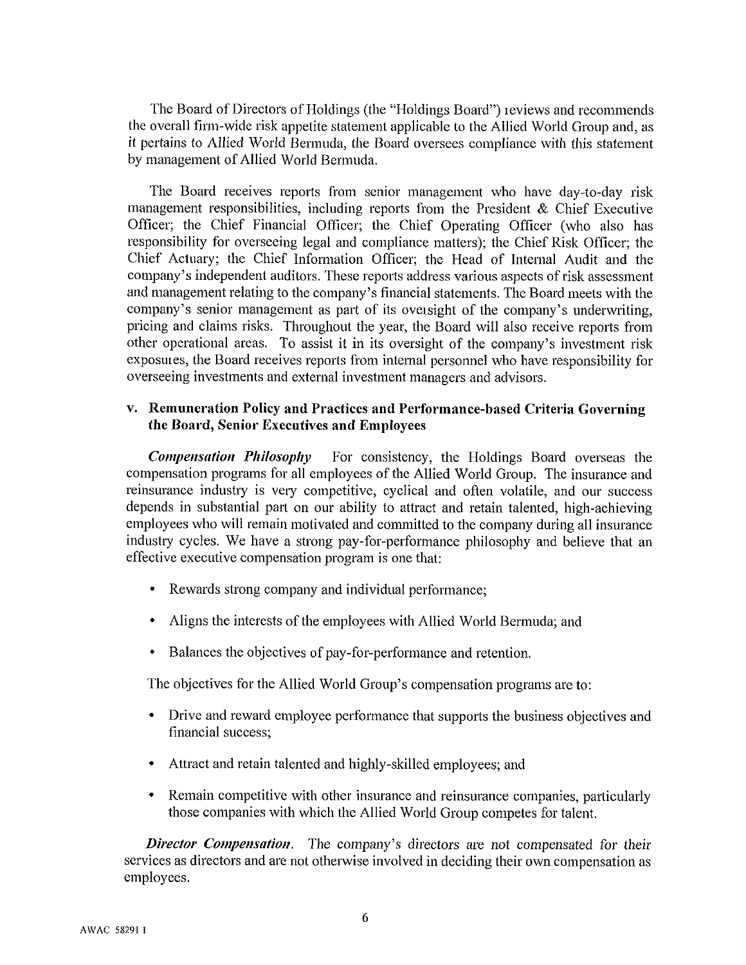The Board of Directors of Holdings (the "Holdings Board") reviews and recommends the overall firm-wide risk appetite statement applicable to the Allied World Group and, as it pertains to Allied World Bermuda, the Board oversees compliance with this statement by management of Allied World Bermuda.

The Board receives reports from senior management who have day-to-day risk management responsibilities, including reports from the President  $\&$  Chief Executive Officer; the Chief Financial Officer; the Chief Operating Officer (who also has responsibility for overseeing legal and compliance matters); the Chief Risk Officer; the Chief Actuary; the Chief Information Officer; the Head of Internal Audit and the company's independent auditors. These reports address various aspects of risk assessment and management relating to the company's financial statements. The Board meets with the company's senior management as part of its oversight of the company's underwriting, pricing and claims risks. Throughout the year, the Board will also receive reports from other operational areas. To assist it in its oversight of the company's investment risk exposures, the Board receives reports from internal personnel who have responsibility for overseeing investments and external investment managers and advisors.

#### v. Remuneration Policy and Practices and Performance-based Criteria Governing the Board, Senior Executives and Employees

**Compensation Philosophy** For consistency, the Holdings Board overseas the compensation programs for all employees of the Allied World Group. The insurance and reinsurance industry is very competitive, cyclical and often volatile, and our success depends in substantial part on our ability to attract and retain talented, high-achieving employees who will remain motivated and committed to the company during all insurance industry cycles. We have a strong pay-for-performance philosophy and believe that an effective executive compensation program is one that:

- Rewards strong company and individual performance;
- Aligns the interests of the employees with Allied World Bermuda; and
- Balances the objectives of pay-for-performance and retention.

The objectives for the Allied World Group's compensation programs are to:

- Drive and reward employee performance that supports the business objectives and financial success:
- Attract and retain talented and highly-skilled employees; and
- Remain competitive with other insurance and reinsurance companies, particularly  $\bullet$ those companies with which the Allied World Group competes for talent.

**Director Compensation.** The company's directors are not compensated for their services as directors and are not otherwise involved in deciding their own compensation as employees.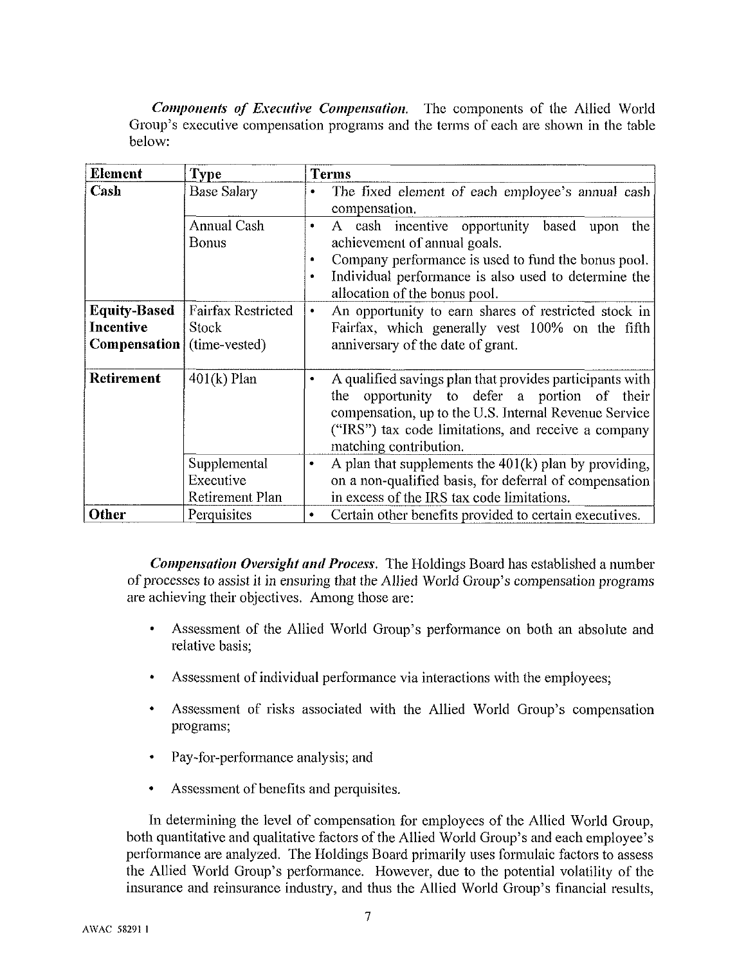**Components of Executive Compensation.** The components of the Allied World Group's executive compensation programs and the terms of each are shown in the table below:

| <b>Element</b>                    | <b>Type</b>                                  | <b>Terms</b>                                                                                                                                                                                                                                          |  |  |
|-----------------------------------|----------------------------------------------|-------------------------------------------------------------------------------------------------------------------------------------------------------------------------------------------------------------------------------------------------------|--|--|
| <b>Cash</b>                       | <b>Base Salary</b>                           | The fixed element of each employee's annual cash<br>compensation.                                                                                                                                                                                     |  |  |
|                                   | <b>Annual Cash</b><br>Bonus                  | A cash incentive opportunity based upon<br>the<br>۰<br>achievement of annual goals.<br>Company performance is used to fund the bonus pool.<br>$\bullet$<br>Individual performance is also used to determine the<br>۰<br>allocation of the bonus pool. |  |  |
| <b>Equity-Based</b>               | Fairfax Restricted                           | An opportunity to earn shares of restricted stock in<br>٠                                                                                                                                                                                             |  |  |
| Incentive                         | Stock                                        | Fairfax, which generally vest 100% on the fifth                                                                                                                                                                                                       |  |  |
| <b>Compensation</b> (time-vested) |                                              | anniversary of the date of grant.                                                                                                                                                                                                                     |  |  |
| Retirement                        | $401(k)$ Plan                                | A qualified savings plan that provides participants with<br>opportunity to defer a portion of their<br>the<br>compensation, up to the U.S. Internal Revenue Service<br>("IRS") tax code limitations, and receive a company<br>matching contribution.  |  |  |
|                                   | Supplemental<br>Executive<br>Retirement Plan | A plan that supplements the $401(k)$ plan by providing,<br>٠<br>on a non-qualified basis, for deferral of compensation<br>in excess of the IRS tax code limitations.                                                                                  |  |  |
| Other                             | Perquisites                                  | Certain other benefits provided to certain executives.                                                                                                                                                                                                |  |  |

**Compensation Oversight and Process.** The Holdings Board has established a number of processes to assist it in ensuring that the Allied World Group's compensation programs are achieving their objectives. Among those are:

- Assessment of the Allied World Group's performance on both an absolute and  $\bullet$ relative basis;
- Assessment of individual performance via interactions with the employees;
- Assessment of risks associated with the Allied World Group's compensation programs;
- Pay-for-performance analysis; and
- Assessment of benefits and perquisites.

In determining the level of compensation for employees of the Allied World Group, both quantitative and qualitative factors of the Allied World Group's and each employee's performance are analyzed. The Holdings Board primarily uses formulaic factors to assess the Allied World Group's performance. However, due to the potential volatility of the insurance and reinsurance industry, and thus the Allied World Group's financial results,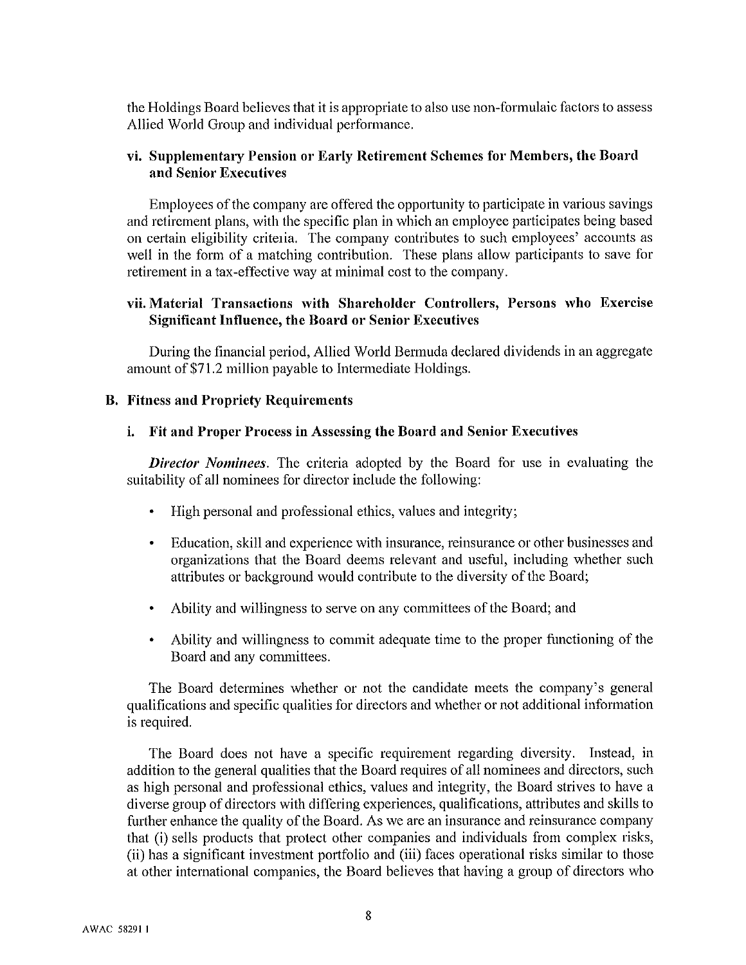the Holdings Board believes that it is appropriate to also use non-formulaic factors to assess Allied World Group and individual performance.

#### vi. Supplementary Pension or Early Retirement Schemes for Members, the Board and Senior Executives

Employees of the company are offered the opportunity to participate in various savings and retirement plans, with the specific plan in which an employee participates being based on certain eligibility criteria. The company contributes to such employees' accounts as well in the form of a matching contribution. These plans allow participants to save for retirement in a tax-effective way at minimal cost to the company.

#### vii. Material Transactions with Shareholder Controllers, Persons who Exercise **Significant Influence, the Board or Senior Executives**

During the financial period, Allied World Bermuda declared dividends in an aggregate amount of \$71.2 million payable to Intermediate Holdings.

#### **B.** Fitness and Propriety Requirements

#### i. Fit and Proper Process in Assessing the Board and Senior Executives

**Director Nominees.** The criteria adopted by the Board for use in evaluating the suitability of all nominees for director include the following:

- High personal and professional ethics, values and integrity;
- Education, skill and experience with insurance, reinsurance or other businesses and  $\bullet$ organizations that the Board deems relevant and useful, including whether such attributes or background would contribute to the diversity of the Board;
- Ability and willingness to serve on any committees of the Board; and
- Ability and willingness to commit adequate time to the proper functioning of the Board and any committees.

The Board determines whether or not the candidate meets the company's general qualifications and specific qualities for directors and whether or not additional information is required.

The Board does not have a specific requirement regarding diversity. Instead, in addition to the general qualities that the Board requires of all nominees and directors, such as high personal and professional ethics, values and integrity, the Board strives to have a diverse group of directors with differing experiences, qualifications, attributes and skills to further enhance the quality of the Board. As we are an insurance and reinsurance company that (i) sells products that protect other companies and individuals from complex risks, (ii) has a significant investment portfolio and (iii) faces operational risks similar to those at other international companies, the Board believes that having a group of directors who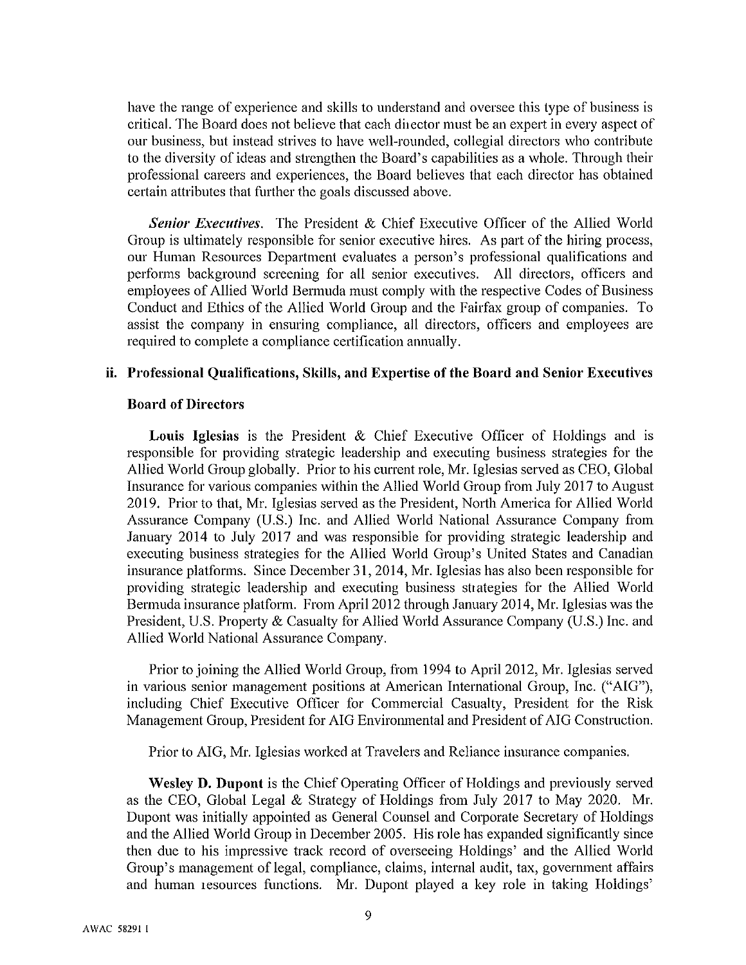have the range of experience and skills to understand and oversee this type of business is critical. The Board does not believe that each director must be an expert in every aspect of our business, but instead strives to have well-rounded, collegial directors who contribute to the diversity of ideas and strengthen the Board's capabilities as a whole. Through their professional careers and experiences, the Board believes that each director has obtained certain attributes that further the goals discussed above.

**Senior Executives.** The President & Chief Executive Officer of the Allied World Group is ultimately responsible for senior executive hires. As part of the hiring process, our Human Resources Department evaluates a person's professional qualifications and performs background screening for all senior executives. All directors, officers and employees of Allied World Bermuda must comply with the respective Codes of Business Conduct and Ethics of the Allied World Group and the Fairfax group of companies. To assist the company in ensuring compliance, all directors, officers and employees are required to complete a compliance certification annually.

#### ii. Professional Qualifications, Skills, and Expertise of the Board and Senior Executives

#### **Board of Directors**

Louis Iglesias is the President & Chief Executive Officer of Holdings and is responsible for providing strategic leadership and executing business strategies for the Allied World Group globally. Prior to his current role, Mr. Iglesias served as CEO, Global Insurance for various companies within the Allied World Group from July 2017 to August 2019. Prior to that, Mr. Iglesias served as the President, North America for Allied World Assurance Company (U.S.) Inc. and Allied World National Assurance Company from January 2014 to July 2017 and was responsible for providing strategic leadership and executing business strategies for the Allied World Group's United States and Canadian insurance platforms. Since December 31, 2014, Mr. Iglesias has also been responsible for providing strategic leadership and executing business strategies for the Allied World Bermuda insurance platform. From April 2012 through January 2014, Mr. Iglesias was the President, U.S. Property & Casualty for Allied World Assurance Company (U.S.) Inc. and Allied World National Assurance Company.

Prior to joining the Allied World Group, from 1994 to April 2012, Mr. Iglesias served in various senior management positions at American International Group, Inc. ("AIG"), including Chief Executive Officer for Commercial Casualty, President for the Risk Management Group, President for AIG Environmental and President of AIG Construction.

Prior to AIG, Mr. Iglesias worked at Travelers and Reliance insurance companies.

**Wesley D. Dupont** is the Chief Operating Officer of Holdings and previously served as the CEO, Global Legal & Strategy of Holdings from July 2017 to May 2020. Mr. Dupont was initially appointed as General Counsel and Corporate Secretary of Holdings and the Allied World Group in December 2005. His role has expanded significantly since then due to his impressive track record of overseeing Holdings' and the Allied World Group's management of legal, compliance, claims, internal audit, tax, government affairs and human resources functions. Mr. Dupont played a key role in taking Holdings'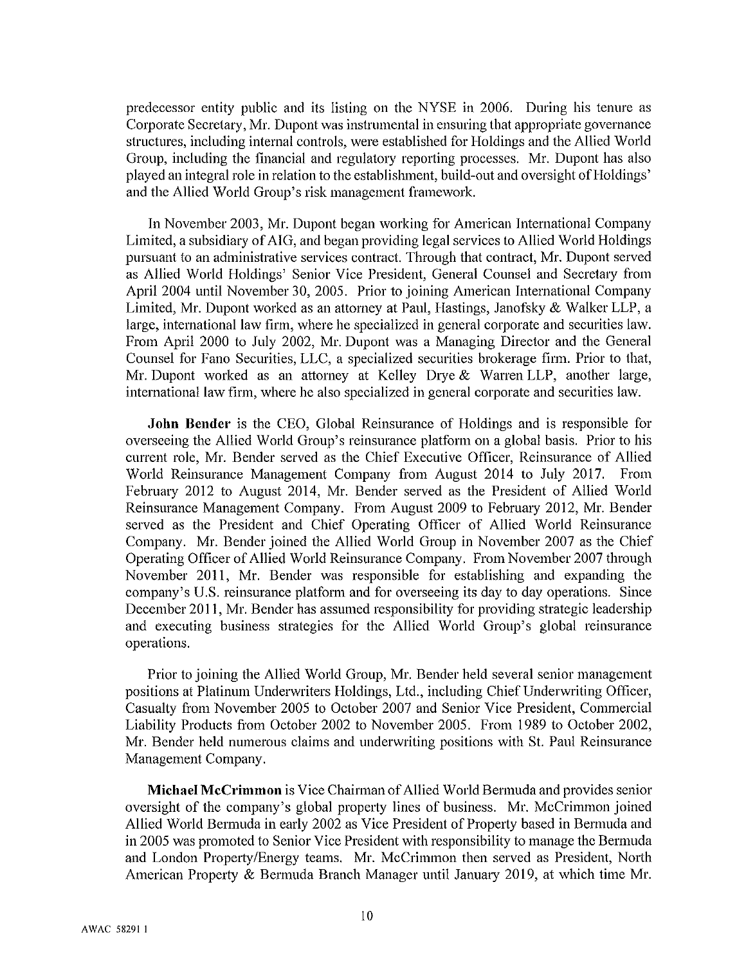predecessor entity public and its listing on the NYSE in 2006. During his tenure as Corporate Secretary, Mr. Dupont was instrumental in ensuring that appropriate governance structures, including internal controls, were established for Holdings and the Allied World Group, including the financial and regulatory reporting processes. Mr. Dupont has also played an integral role in relation to the establishment, build-out and oversight of Holdings' and the Allied World Group's risk management framework.

In November 2003, Mr. Dupont began working for American International Company Limited, a subsidiary of AIG, and began providing legal services to Allied World Holdings pursuant to an administrative services contract. Through that contract, Mr. Dupont served as Allied World Holdings' Senior Vice President, General Counsel and Secretary from April 2004 until November 30, 2005. Prior to joining American International Company Limited, Mr. Dupont worked as an attorney at Paul, Hastings, Janofsky & Walker LLP, a large, international law firm, where he specialized in general corporate and securities law. From April 2000 to July 2002, Mr. Dupont was a Managing Director and the General Counsel for Fano Securities, LLC, a specialized securities brokerage firm. Prior to that, Mr. Dupont worked as an attorney at Kelley Drye & Warren LLP, another large, international law firm, where he also specialized in general corporate and securities law.

**John Bender** is the CEO, Global Reinsurance of Holdings and is responsible for overseeing the Allied World Group's reinsurance platform on a global basis. Prior to his current role, Mr. Bender served as the Chief Executive Officer, Reinsurance of Allied World Reinsurance Management Company from August 2014 to July 2017. From February 2012 to August 2014, Mr. Bender served as the President of Allied World Reinsurance Management Company. From August 2009 to February 2012, Mr. Bender served as the President and Chief Operating Officer of Allied World Reinsurance Company. Mr. Bender joined the Allied World Group in November 2007 as the Chief Operating Officer of Allied World Reinsurance Company. From November 2007 through November 2011, Mr. Bender was responsible for establishing and expanding the company's U.S. reinsurance platform and for overseeing its day to day operations. Since December 2011, Mr. Bender has assumed responsibility for providing strategic leadership and executing business strategies for the Allied World Group's global reinsurance operations.

Prior to joining the Allied World Group, Mr. Bender held several senior management positions at Platinum Underwriters Holdings, Ltd., including Chief Underwriting Officer, Casualty from November 2005 to October 2007 and Senior Vice President, Commercial Liability Products from October 2002 to November 2005. From 1989 to October 2002, Mr. Bender held numerous claims and underwriting positions with St. Paul Reinsurance Management Company.

Michael McCrimmon is Vice Chairman of Allied World Bermuda and provides senior oversight of the company's global property lines of business. Mr. McCrimmon joined Allied World Bermuda in early 2002 as Vice President of Property based in Bermuda and in 2005 was promoted to Senior Vice President with responsibility to manage the Bermuda and London Property/Energy teams. Mr. McCrimmon then served as President, North American Property & Bermuda Branch Manager until January 2019, at which time Mr.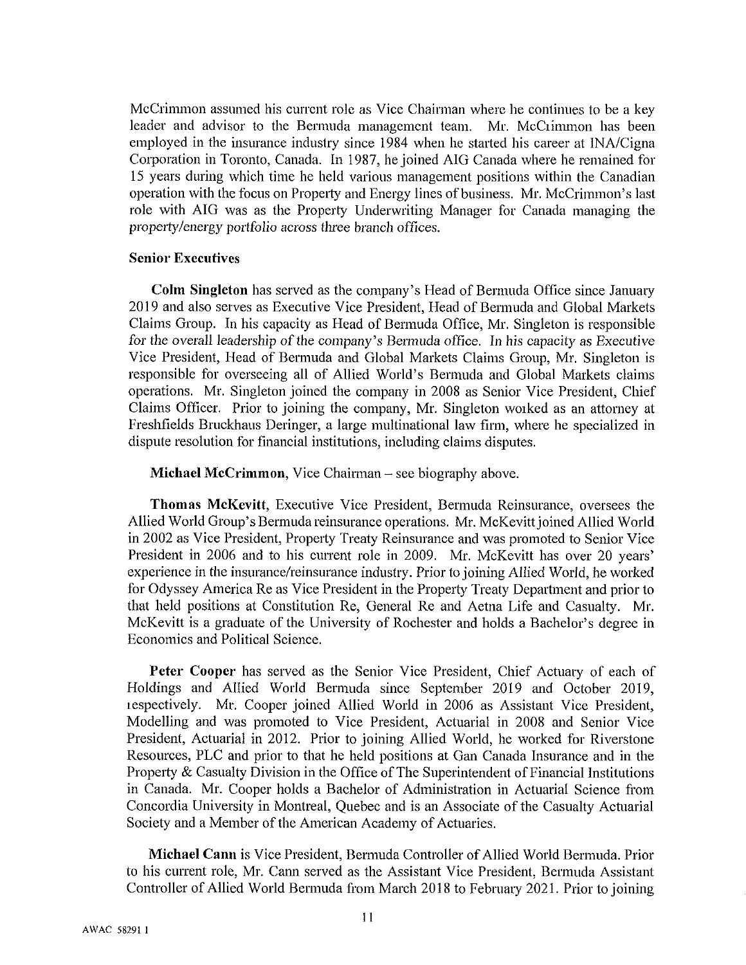McCrimmon assumed his current role as Vice Chairman where he continues to be a key leader and advisor to the Bermuda management team. Mr. McCrimmon has been employed in the insurance industry since 1984 when he started his career at INA/Cigna Corporation in Toronto, Canada. In 1987, he joined AIG Canada where he remained for 15 years during which time he held various management positions within the Canadian operation with the focus on Property and Energy lines of business. Mr. McCrimmon's last role with AIG was as the Property Underwriting Manager for Canada managing the property/energy portfolio across three branch offices.

#### **Senior Executives**

Colm Singleton has served as the company's Head of Bermuda Office since January 2019 and also serves as Executive Vice President, Head of Bermuda and Global Markets Claims Group. In his capacity as Head of Bermuda Office, Mr. Singleton is responsible for the overall leadership of the company's Bermuda office. In his capacity as Executive Vice President, Head of Bermuda and Global Markets Claims Group, Mr. Singleton is responsible for overseeing all of Allied World's Bermuda and Global Markets claims operations. Mr. Singleton joined the company in 2008 as Senior Vice President, Chief Claims Officer. Prior to joining the company, Mr. Singleton worked as an attorney at Freshfields Bruckhaus Deringer, a large multinational law firm, where he specialized in dispute resolution for financial institutions, including claims disputes.

**Michael McCrimmon**, Vice Chairman – see biography above.

**Thomas McKevitt, Executive Vice President, Bermuda Reinsurance, oversees the** Allied World Group's Bermuda reinsurance operations. Mr. McKevitt joined Allied World in 2002 as Vice President, Property Treaty Reinsurance and was promoted to Senior Vice President in 2006 and to his current role in 2009. Mr. McKevitt has over 20 years' experience in the insurance/reinsurance industry. Prior to joining Allied World, he worked for Odyssey America Re as Vice President in the Property Treaty Department and prior to that held positions at Constitution Re, General Re and Aetna Life and Casualty. Mr. McKevitt is a graduate of the University of Rochester and holds a Bachelor's degree in Economics and Political Science.

Peter Cooper has served as the Senior Vice President, Chief Actuary of each of Holdings and Allied World Bermuda since September 2019 and October 2019, respectively. Mr. Cooper joined Allied World in 2006 as Assistant Vice President, Modelling and was promoted to Vice President, Actuarial in 2008 and Senior Vice President, Actuarial in 2012. Prior to joining Allied World, he worked for Riverstone Resources, PLC and prior to that he held positions at Gan Canada Insurance and in the Property & Casualty Division in the Office of The Superintendent of Financial Institutions in Canada. Mr. Cooper holds a Bachelor of Administration in Actuarial Science from Concordia University in Montreal, Quebec and is an Associate of the Casualty Actuarial Society and a Member of the American Academy of Actuaries.

Michael Cann is Vice President, Bermuda Controller of Allied World Bermuda, Prior to his current role, Mr. Cann served as the Assistant Vice President, Bermuda Assistant Controller of Allied World Bermuda from March 2018 to February 2021. Prior to joining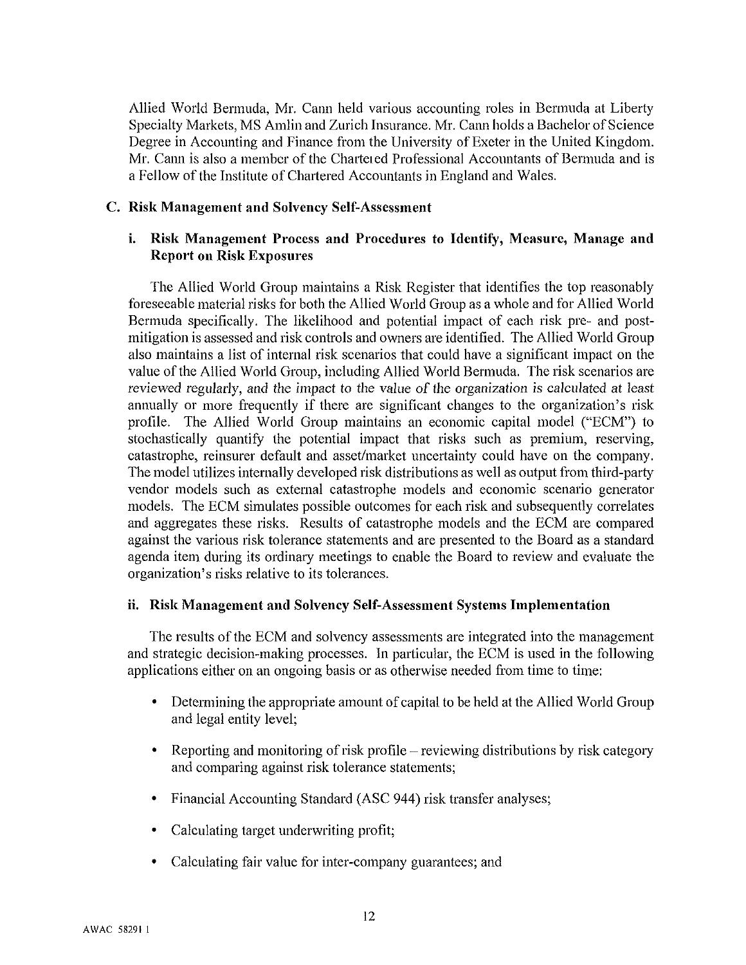Allied World Bermuda, Mr. Cann held various accounting roles in Bermuda at Liberty Specialty Markets, MS Amlin and Zurich Insurance. Mr. Cann holds a Bachelor of Science Degree in Accounting and Finance from the University of Exeter in the United Kingdom. Mr. Cann is also a member of the Chartered Professional Accountants of Bermuda and is a Fellow of the Institute of Chartered Accountants in England and Wales.

#### C. Risk Management and Solvency Self-Assessment

#### i. Risk Management Process and Procedures to Identify, Measure, Manage and **Report on Risk Exposures**

The Allied World Group maintains a Risk Register that identifies the top reasonably foreseeable material risks for both the Allied World Group as a whole and for Allied World Bermuda specifically. The likelihood and potential impact of each risk pre- and postmitigation is assessed and risk controls and owners are identified. The Allied World Group also maintains a list of internal risk scenarios that could have a significant impact on the value of the Allied World Group, including Allied World Bermuda. The risk scenarios are reviewed regularly, and the impact to the value of the organization is calculated at least annually or more frequently if there are significant changes to the organization's risk profile. The Allied World Group maintains an economic capital model ("ECM") to stochastically quantify the potential impact that risks such as premium, reserving, catastrophe, reinsurer default and asset/market uncertainty could have on the company. The model utilizes internally developed risk distributions as well as output from third-party vendor models such as external catastrophe models and economic scenario generator models. The ECM simulates possible outcomes for each risk and subsequently correlates and aggregates these risks. Results of catastrophe models and the ECM are compared against the various risk tolerance statements and are presented to the Board as a standard agenda item during its ordinary meetings to enable the Board to review and evaluate the organization's risks relative to its tolerances.

#### ii. Risk Management and Solvency Self-Assessment Systems Implementation

The results of the ECM and solvency assessments are integrated into the management and strategic decision-making processes. In particular, the ECM is used in the following applications either on an ongoing basis or as otherwise needed from time to time:

- Determining the appropriate amount of capital to be held at the Allied World Group  $\bullet$ and legal entity level;
- Reporting and monitoring of risk profile reviewing distributions by risk category and comparing against risk tolerance statements;
- Financial Accounting Standard (ASC 944) risk transfer analyses;
- Calculating target underwriting profit;
- Calculating fair value for inter-company guarantees; and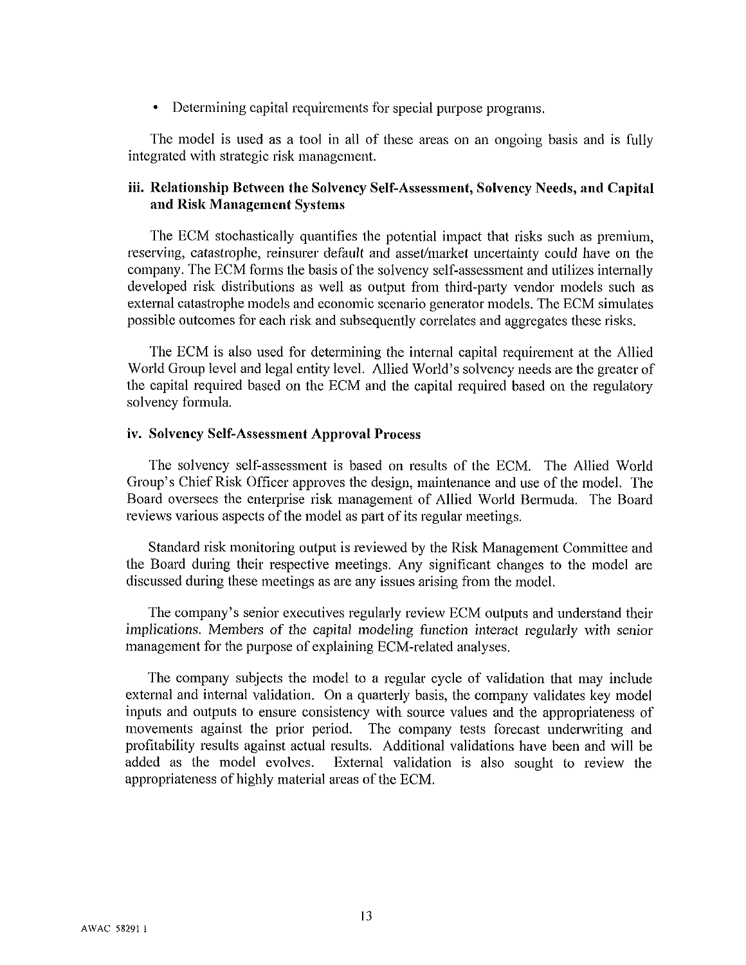Determining capital requirements for special purpose programs.  $\bullet$ 

The model is used as a tool in all of these areas on an ongoing basis and is fully integrated with strategic risk management.

#### iii. Relationship Between the Solvency Self-Assessment, Solvency Needs, and Capital and Risk Management Systems

The ECM stochastically quantifies the potential impact that risks such as premium, reserving, catastrophe, reinsurer default and asset/market uncertainty could have on the company. The ECM forms the basis of the solvency self-assessment and utilizes internally developed risk distributions as well as output from third-party vendor models such as external catastrophe models and economic scenario generator models. The ECM simulates possible outcomes for each risk and subsequently correlates and aggregates these risks.

The ECM is also used for determining the internal capital requirement at the Allied World Group level and legal entity level. Allied World's solvency needs are the greater of the capital required based on the ECM and the capital required based on the regulatory solvency formula.

#### iv. Solvency Self-Assessment Approval Process

The solvency self-assessment is based on results of the ECM. The Allied World Group's Chief Risk Officer approves the design, maintenance and use of the model. The Board oversees the enterprise risk management of Allied World Bermuda. The Board reviews various aspects of the model as part of its regular meetings.

Standard risk monitoring output is reviewed by the Risk Management Committee and the Board during their respective meetings. Any significant changes to the model are discussed during these meetings as are any issues arising from the model.

The company's senior executives regularly review ECM outputs and understand their implications. Members of the capital modeling function interact regularly with senior management for the purpose of explaining ECM-related analyses.

The company subjects the model to a regular cycle of validation that may include external and internal validation. On a quarterly basis, the company validates key model inputs and outputs to ensure consistency with source values and the appropriateness of movements against the prior period. The company tests forecast underwriting and profitability results against actual results. Additional validations have been and will be added as the model evolves. External validation is also sought to review the appropriateness of highly material areas of the ECM.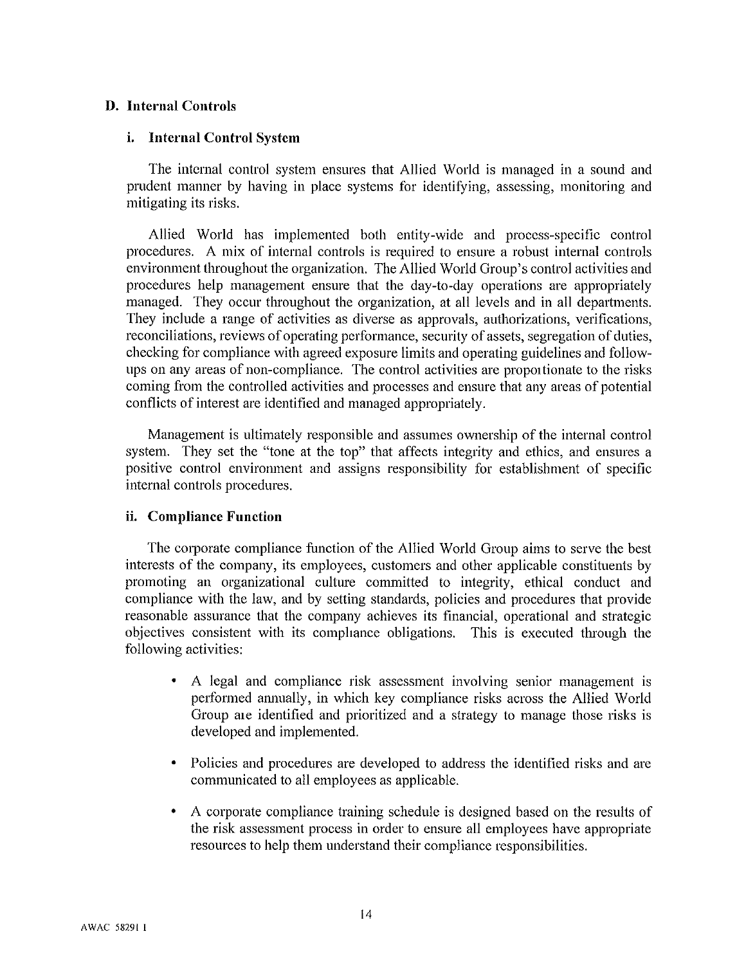#### **D.** Internal Controls

#### i. Internal Control System

The internal control system ensures that Allied World is managed in a sound and prudent manner by having in place systems for identifying, assessing, monitoring and mitigating its risks.

Allied World has implemented both entity-wide and process-specific control procedures. A mix of internal controls is required to ensure a robust internal controls environment throughout the organization. The Allied World Group's control activities and procedures help management ensure that the day-to-day operations are appropriately managed. They occur throughout the organization, at all levels and in all departments. They include a range of activities as diverse as approvals, authorizations, verifications, reconciliations, reviews of operating performance, security of assets, segregation of duties, checking for compliance with agreed exposure limits and operating guidelines and followups on any areas of non-compliance. The control activities are proportionate to the risks coming from the controlled activities and processes and ensure that any areas of potential conflicts of interest are identified and managed appropriately.

Management is ultimately responsible and assumes ownership of the internal control system. They set the "tone at the top" that affects integrity and ethics, and ensures a positive control environment and assigns responsibility for establishment of specific internal controls procedures.

#### ii. Compliance Function

The corporate compliance function of the Allied World Group aims to serve the best interests of the company, its employees, customers and other applicable constituents by promoting an organizational culture committed to integrity, ethical conduct and compliance with the law, and by setting standards, policies and procedures that provide reasonable assurance that the company achieves its financial, operational and strategic objectives consistent with its compliance obligations. This is executed through the following activities:

- A legal and compliance risk assessment involving senior management is performed annually, in which key compliance risks across the Allied World Group are identified and prioritized and a strategy to manage those risks is developed and implemented.
- Policies and procedures are developed to address the identified risks and are communicated to all employees as applicable.
- A corporate compliance training schedule is designed based on the results of the risk assessment process in order to ensure all employees have appropriate resources to help them understand their compliance responsibilities.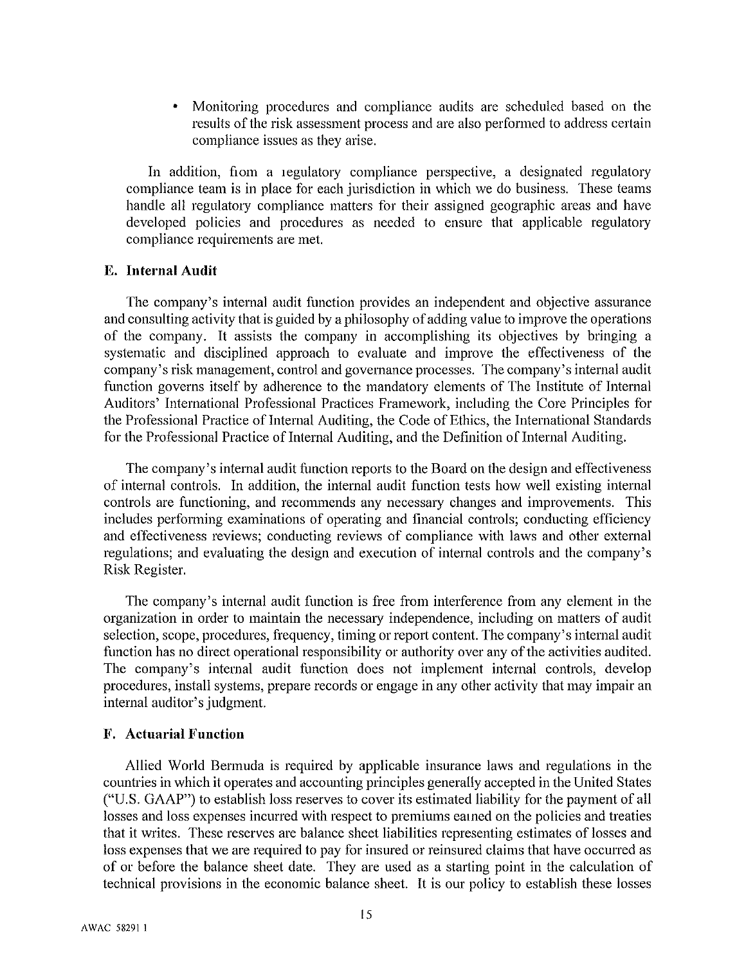Monitoring procedures and compliance audits are scheduled based on the results of the risk assessment process and are also performed to address certain compliance issues as they arise.

In addition, fiom a regulatory compliance perspective, a designated regulatory compliance team is in place for each jurisdiction in which we do business. These teams handle all regulatory compliance matters for their assigned geographic areas and have developed policies and procedures as needed to ensure that applicable regulatory compliance requirements are met.

#### E. Internal Audit

The company's internal audit function provides an independent and objective assurance and consulting activity that is guided by a philosophy of adding value to improve the operations of the company. It assists the company in accomplishing its objectives by bringing a systematic and disciplined approach to evaluate and improve the effectiveness of the company's risk management, control and governance processes. The company's internal audit function governs itself by adherence to the mandatory elements of The Institute of Internal Auditors' International Professional Practices Framework, including the Core Principles for the Professional Practice of Internal Auditing, the Code of Ethics, the International Standards for the Professional Practice of Internal Auditing, and the Definition of Internal Auditing.

The company's internal audit function reports to the Board on the design and effectiveness of internal controls. In addition, the internal audit function tests how well existing internal controls are functioning, and recommends any necessary changes and improvements. This includes performing examinations of operating and financial controls; conducting efficiency and effectiveness reviews; conducting reviews of compliance with laws and other external regulations; and evaluating the design and execution of internal controls and the company's Risk Register.

The company's internal audit function is free from interference from any element in the organization in order to maintain the necessary independence, including on matters of audit selection, scope, procedures, frequency, timing or report content. The company's internal audit function has no direct operational responsibility or authority over any of the activities audited. The company's internal audit function does not implement internal controls, develop procedures, install systems, prepare records or engage in any other activity that may impair an internal auditor's judgment.

#### **F.** Actuarial Function

Allied World Bermuda is required by applicable insurance laws and regulations in the countries in which it operates and accounting principles generally accepted in the United States ("U.S. GAAP") to establish loss reserves to cover its estimated liability for the payment of all losses and loss expenses incurred with respect to premiums earned on the policies and treaties that it writes. These reserves are balance sheet liabilities representing estimates of losses and loss expenses that we are required to pay for insured or reinsured claims that have occurred as of or before the balance sheet date. They are used as a starting point in the calculation of technical provisions in the economic balance sheet. It is our policy to establish these losses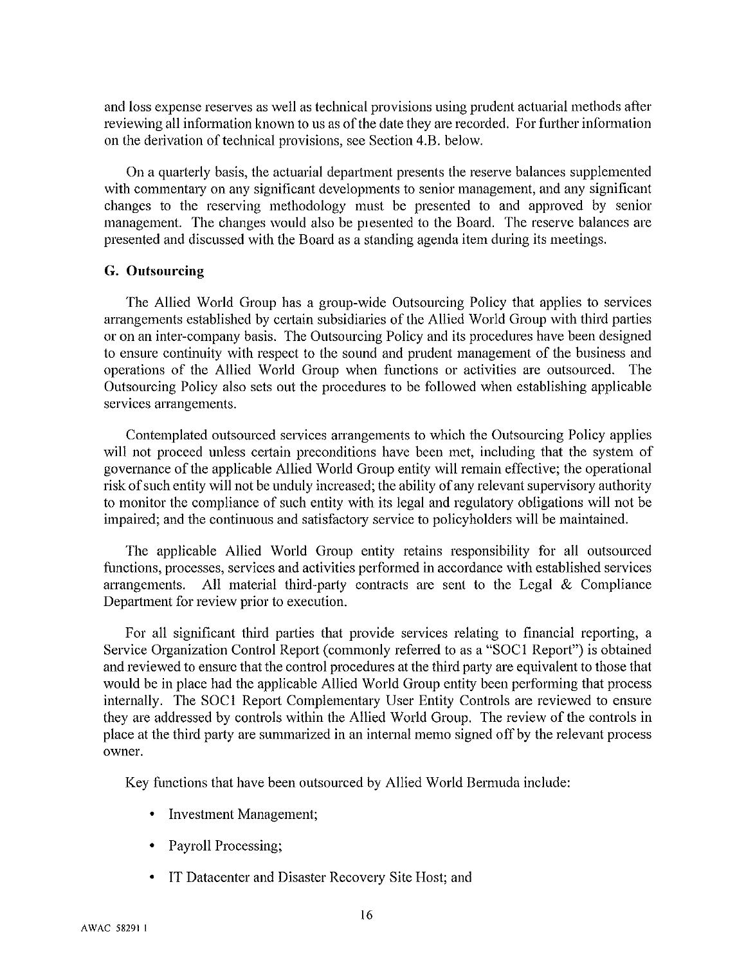and loss expense reserves as well as technical provisions using prudent actuarial methods after reviewing all information known to us as of the date they are recorded. For further information on the derivation of technical provisions, see Section 4.B. below.

On a quarterly basis, the actuarial department presents the reserve balances supplemented with commentary on any significant developments to senior management, and any significant changes to the reserving methodology must be presented to and approved by senior management. The changes would also be presented to the Board. The reserve balances are presented and discussed with the Board as a standing agenda item during its meetings.

#### G. Outsourcing

The Allied World Group has a group-wide Outsourcing Policy that applies to services arrangements established by certain subsidiaries of the Allied World Group with third parties or on an inter-company basis. The Outsourcing Policy and its procedures have been designed to ensure continuity with respect to the sound and prudent management of the business and operations of the Allied World Group when functions or activities are outsourced. The Outsourcing Policy also sets out the procedures to be followed when establishing applicable services arrangements.

Contemplated outsourced services arrangements to which the Outsourcing Policy applies will not proceed unless certain preconditions have been met, including that the system of governance of the applicable Allied World Group entity will remain effective; the operational risk of such entity will not be unduly increased; the ability of any relevant supervisory authority to monitor the compliance of such entity with its legal and regulatory obligations will not be impaired; and the continuous and satisfactory service to policyholders will be maintained.

The applicable Allied World Group entity retains responsibility for all outsourced functions, processes, services and activities performed in accordance with established services arrangements. All material third-party contracts are sent to the Legal  $&$  Compliance Department for review prior to execution.

For all significant third parties that provide services relating to financial reporting, a Service Organization Control Report (commonly referred to as a "SOC1 Report") is obtained and reviewed to ensure that the control procedures at the third party are equivalent to those that would be in place had the applicable Allied World Group entity been performing that process internally. The SOC1 Report Complementary User Entity Controls are reviewed to ensure they are addressed by controls within the Allied World Group. The review of the controls in place at the third party are summarized in an internal memo signed off by the relevant process owner.

Key functions that have been outsourced by Allied World Bermuda include:

- Investment Management;
- Payroll Processing;
- IT Datacenter and Disaster Recovery Site Host; and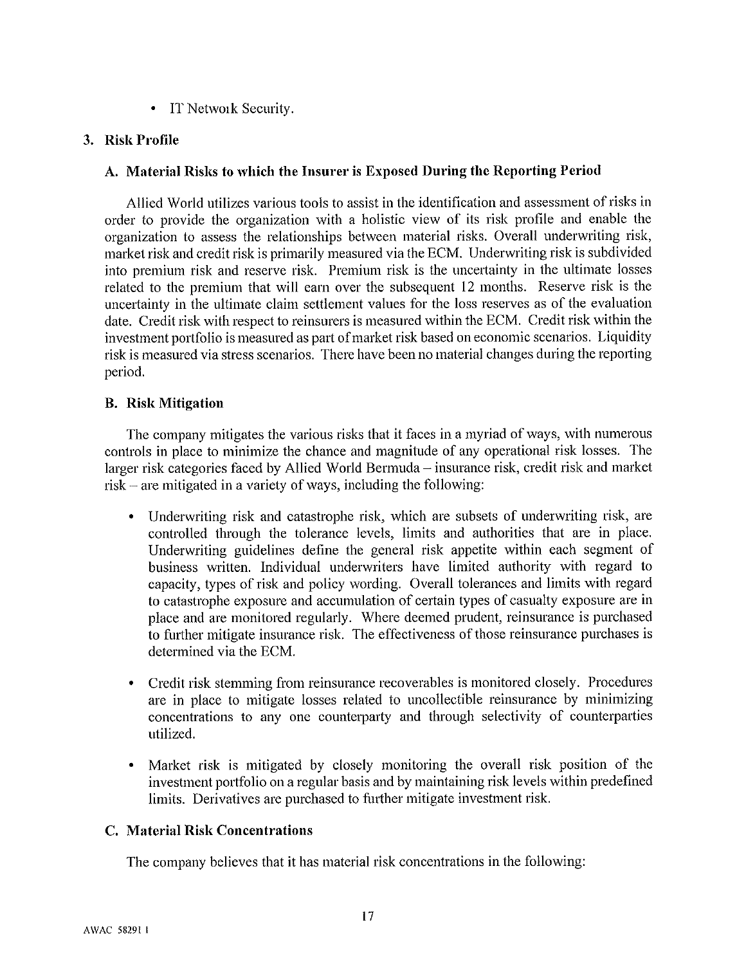• IT Network Security.

### 3. Risk Profile

#### A. Material Risks to which the Insurer is Exposed During the Reporting Period

Allied World utilizes various tools to assist in the identification and assessment of risks in order to provide the organization with a holistic view of its risk profile and enable the organization to assess the relationships between material risks. Overall underwriting risk, market risk and credit risk is primarily measured via the ECM. Underwriting risk is subdivided into premium risk and reserve risk. Premium risk is the uncertainty in the ultimate losses related to the premium that will earn over the subsequent 12 months. Reserve risk is the uncertainty in the ultimate claim settlement values for the loss reserves as of the evaluation date. Credit risk with respect to reinsurers is measured within the ECM. Credit risk within the investment portfolio is measured as part of market risk based on economic scenarios. Liquidity risk is measured via stress scenarios. There have been no material changes during the reporting period.

#### **B.** Risk Mitigation

The company mitigates the various risks that it faces in a myriad of ways, with numerous controls in place to minimize the chance and magnitude of any operational risk losses. The larger risk categories faced by Allied World Bermuda – insurance risk, credit risk and market risk – are mitigated in a variety of ways, including the following:

- Underwriting risk and catastrophe risk, which are subsets of underwriting risk, are  $\bullet$ controlled through the tolerance levels, limits and authorities that are in place. Underwriting guidelines define the general risk appetite within each segment of business written. Individual underwriters have limited authority with regard to capacity, types of risk and policy wording. Overall tolerances and limits with regard to catastrophe exposure and accumulation of certain types of casualty exposure are in place and are monitored regularly. Where deemed prudent, reinsurance is purchased to further mitigate insurance risk. The effectiveness of those reinsurance purchases is determined via the ECM.
- Credit risk stemming from reinsurance recoverables is monitored closely. Procedures are in place to mitigate losses related to uncollectible reinsurance by minimizing concentrations to any one counterparty and through selectivity of counterparties utilized.
- Market risk is mitigated by closely monitoring the overall risk position of the investment portfolio on a regular basis and by maintaining risk levels within predefined limits. Derivatives are purchased to further mitigate investment risk.

#### C. Material Risk Concentrations

The company believes that it has material risk concentrations in the following: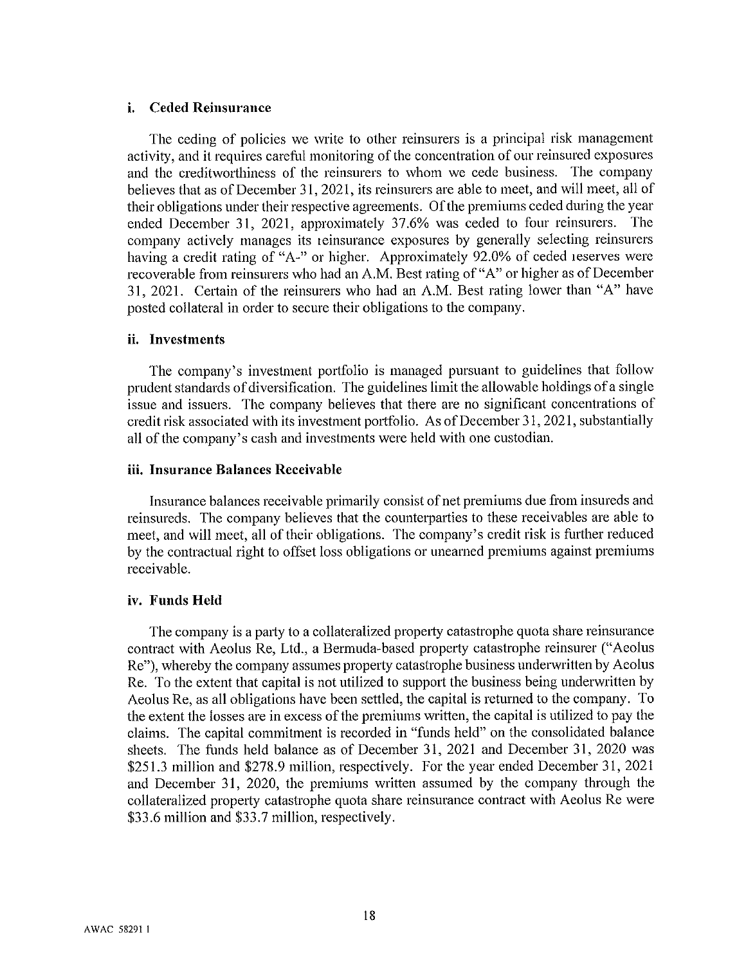#### **Ceded Reinsurance** i.

The ceding of policies we write to other reinsurers is a principal risk management activity, and it requires careful monitoring of the concentration of our reinsured exposures and the creditworthiness of the reinsurers to whom we cede business. The company believes that as of December 31, 2021, its reinsurers are able to meet, and will meet, all of their obligations under their respective agreements. Of the premiums ceded during the year ended December 31, 2021, approximately 37.6% was ceded to four reinsurers. The company actively manages its reinsurance exposures by generally selecting reinsurers having a credit rating of "A-" or higher. Approximately 92.0% of ceded reserves were recoverable from reinsurers who had an A.M. Best rating of "A" or higher as of December 31, 2021. Certain of the reinsurers who had an A.M. Best rating lower than "A" have posted collateral in order to secure their obligations to the company.

#### ii. Investments

The company's investment portfolio is managed pursuant to guidelines that follow prudent standards of diversification. The guidelines limit the allowable holdings of a single issue and issuers. The company believes that there are no significant concentrations of credit risk associated with its investment portfolio. As of December 31, 2021, substantially all of the company's cash and investments were held with one custodian.

#### iii. Insurance Balances Receivable

Insurance balances receivable primarily consist of net premiums due from insureds and reinsureds. The company believes that the counterparties to these receivables are able to meet, and will meet, all of their obligations. The company's credit risk is further reduced by the contractual right to offset loss obligations or unearned premiums against premiums receivable.

#### iv. Funds Held

The company is a party to a collateralized property catastrophe quota share reinsurance contract with Aeolus Re, Ltd., a Bermuda-based property catastrophe reinsurer ("Aeolus Re"), whereby the company assumes property catastrophe business underwritten by Aeolus Re. To the extent that capital is not utilized to support the business being underwritten by Aeolus Re, as all obligations have been settled, the capital is returned to the company. To the extent the losses are in excess of the premiums written, the capital is utilized to pay the claims. The capital commitment is recorded in "funds held" on the consolidated balance sheets. The funds held balance as of December 31, 2021 and December 31, 2020 was \$251.3 million and \$278.9 million, respectively. For the year ended December 31, 2021 and December 31, 2020, the premiums written assumed by the company through the collateralized property catastrophe quota share reinsurance contract with Aeolus Re were \$33.6 million and \$33.7 million, respectively.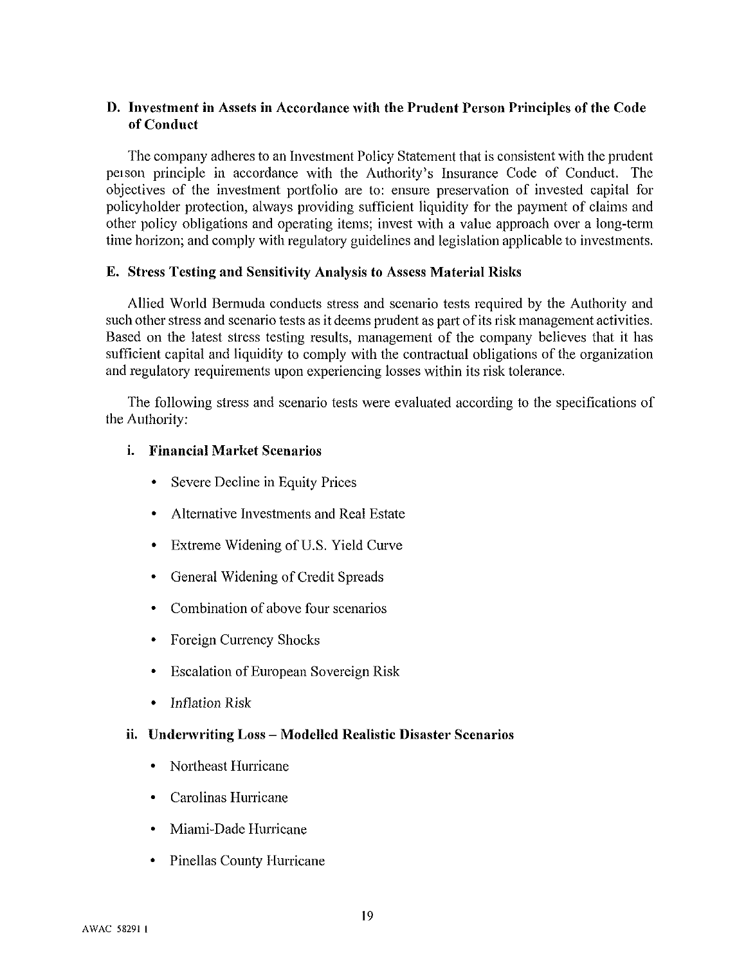#### D. Investment in Assets in Accordance with the Prudent Person Principles of the Code of Conduct

The company adheres to an Investment Policy Statement that is consistent with the prudent person principle in accordance with the Authority's Insurance Code of Conduct. The objectives of the investment portfolio are to: ensure preservation of invested capital for policyholder protection, always providing sufficient liquidity for the payment of claims and other policy obligations and operating items; invest with a value approach over a long-term time horizon; and comply with regulatory guidelines and legislation applicable to investments.

#### E. Stress Testing and Sensitivity Analysis to Assess Material Risks

Allied World Bermuda conducts stress and scenario tests required by the Authority and such other stress and scenario tests as it deems prudent as part of its risk management activities. Based on the latest stress testing results, management of the company believes that it has sufficient capital and liquidity to comply with the contractual obligations of the organization and regulatory requirements upon experiencing losses within its risk tolerance.

The following stress and scenario tests were evaluated according to the specifications of the Authority:

#### *i.* Financial Market Scenarios

- Severe Decline in Equity Prices
- Alternative Investments and Real Estate
- Extreme Widening of U.S. Yield Curve
- General Widening of Credit Spreads
- Combination of above four scenarios
- Foreign Currency Shocks
- Escalation of European Sovereign Risk
- $\bullet$ **Inflation Risk**

#### ii. Underwriting Loss - Modelled Realistic Disaster Scenarios

- Northeast Hurricane
- Carolinas Hurricane
- Miami-Dade Hurricane
- Pinellas County Hurricane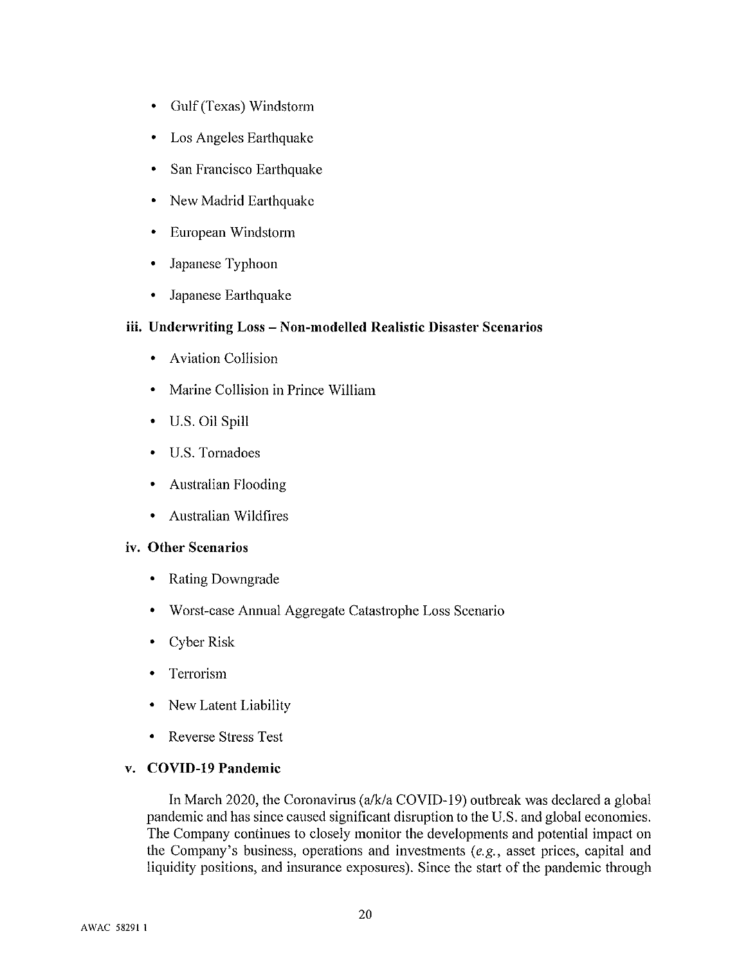- Gulf (Texas) Windstorm
- Los Angeles Earthquake
- San Francisco Earthquake
- New Madrid Earthquake
- European Windstorm  $\bullet$
- Japanese Typhoon  $\bullet$
- Japanese Earthquake  $\bullet$

#### iii. Underwriting Loss - Non-modelled Realistic Disaster Scenarios

- Aviation Collision
- Marine Collision in Prince William  $\bullet$
- U.S. Oil Spill
- U.S. Tornadoes
- Australian Flooding
- Australian Wildfires

#### iv. Other Scenarios

- **Rating Downgrade**  $\bullet$
- Worst-case Annual Aggregate Catastrophe Loss Scenario
- Cyber Risk
- Terrorism
- New Latent Liability  $\bullet$
- **Reverse Stress Test**  $\bullet$

#### v. COVID-19 Pandemic

In March 2020, the Coronavirus (a/k/a COVID-19) outbreak was declared a global pandemic and has since caused significant disruption to the U.S. and global economies. The Company continues to closely monitor the developments and potential impact on the Company's business, operations and investments  $(e.g.,$  asset prices, capital and liquidity positions, and insurance exposures). Since the start of the pandemic through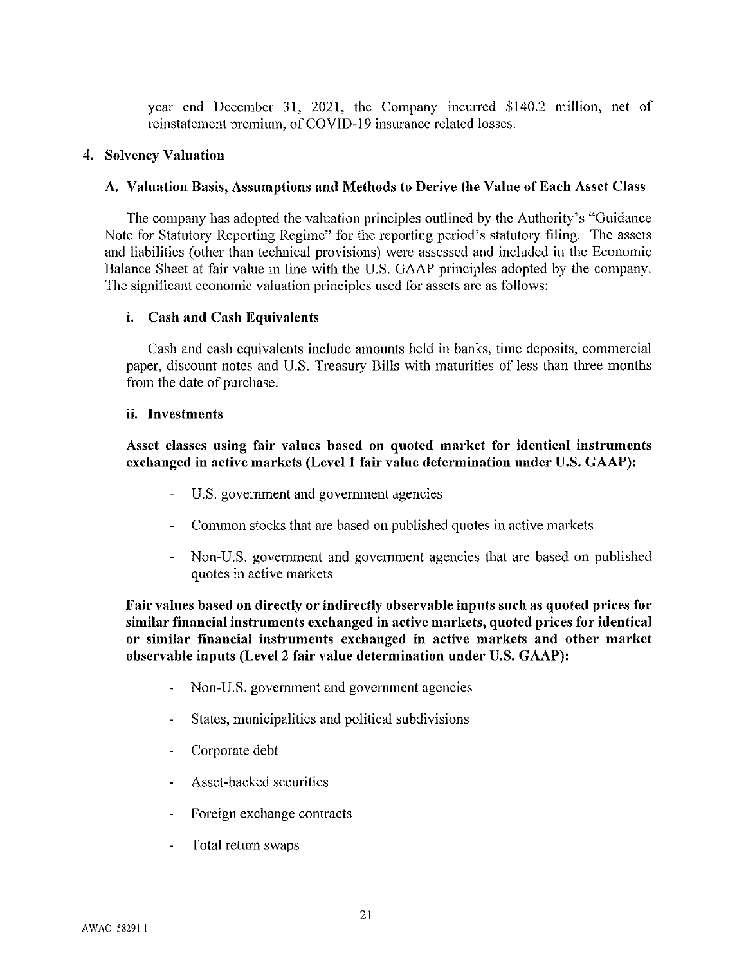year end December 31, 2021, the Company incurred \$140.2 million, net of reinstatement premium, of COVID-19 insurance related losses.

#### 4. Solvency Valuation

#### A. Valuation Basis, Assumptions and Methods to Derive the Value of Each Asset Class

The company has adopted the valuation principles outlined by the Authority's "Guidance" Note for Statutory Reporting Regime" for the reporting period's statutory filing. The assets and liabilities (other than technical provisions) were assessed and included in the Economic Balance Sheet at fair value in line with the U.S. GAAP principles adopted by the company. The significant economic valuation principles used for assets are as follows:

#### i. Cash and Cash Equivalents

Cash and cash equivalents include amounts held in banks, time deposits, commercial paper, discount notes and U.S. Treasury Bills with maturities of less than three months from the date of purchase.

#### ii. Investments

#### Asset classes using fair values based on quoted market for identical instruments exchanged in active markets (Level 1 fair value determination under U.S. GAAP):

- ÷. U.S. government and government agencies
- Common stocks that are based on published quotes in active markets
- Non-U.S. government and government agencies that are based on published quotes in active markets

Fair values based on directly or indirectly observable inputs such as quoted prices for similar financial instruments exchanged in active markets, quoted prices for identical or similar financial instruments exchanged in active markets and other market observable inputs (Level 2 fair value determination under U.S. GAAP):

- Non-U.S. government and government agencies
- States, municipalities and political subdivisions
- Corporate debt
- Asset-backed securities
- Foreign exchange contracts
- Total return swaps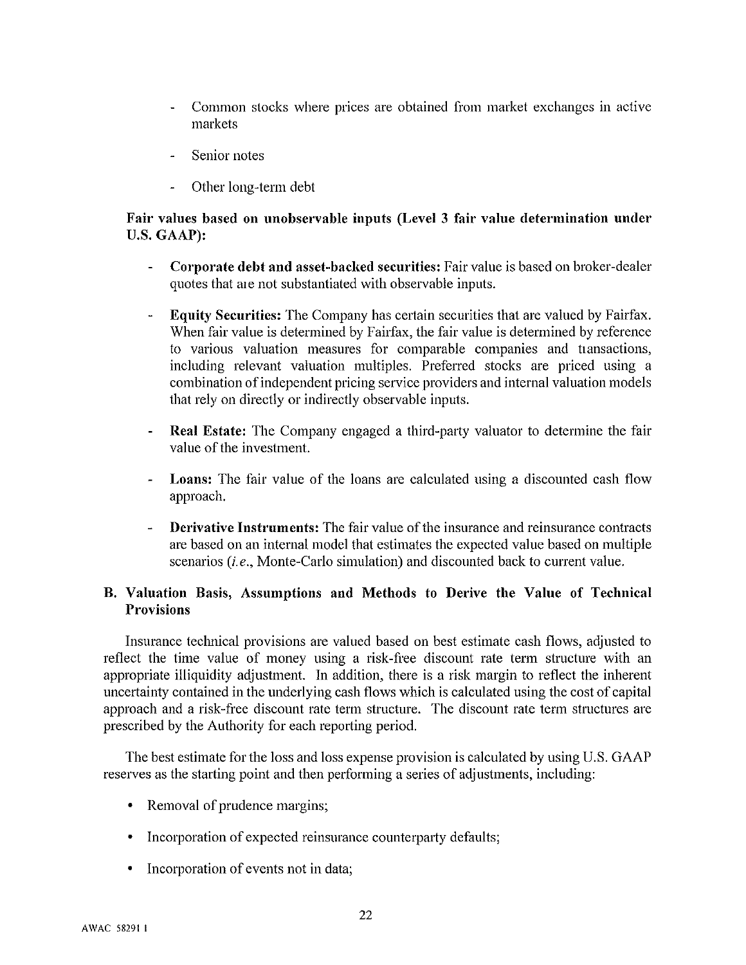- Common stocks where prices are obtained from market exchanges in active markets
- Senior notes
- Other long-term debt

#### Fair values based on unobservable inputs (Level 3 fair value determination under U.S. GAAP):

- Corporate debt and asset-backed securities: Fair value is based on broker-dealer quotes that are not substantiated with observable inputs.
- Equity Securities: The Company has certain securities that are valued by Fairfax. When fair value is determined by Fairfax, the fair value is determined by reference to various valuation measures for comparable companies and transactions, including relevant valuation multiples. Preferred stocks are priced using a combination of independent pricing service providers and internal valuation models that rely on directly or indirectly observable inputs.
- **Real Estate:** The Company engaged a third-party valuator to determine the fair value of the investment.
- **Loans:** The fair value of the loans are calculated using a discounted cash flow approach.
- **Derivative Instruments:** The fair value of the insurance and reinsurance contracts are based on an internal model that estimates the expected value based on multiple scenarios (*i.e.*, Monte-Carlo simulation) and discounted back to current value.

#### B. Valuation Basis, Assumptions and Methods to Derive the Value of Technical **Provisions**

Insurance technical provisions are valued based on best estimate cash flows, adjusted to reflect the time value of money using a risk-free discount rate term structure with an appropriate illiquidity adjustment. In addition, there is a risk margin to reflect the inherent uncertainty contained in the underlying cash flows which is calculated using the cost of capital approach and a risk-free discount rate term structure. The discount rate term structures are prescribed by the Authority for each reporting period.

The best estimate for the loss and loss expense provision is calculated by using U.S. GAAP reserves as the starting point and then performing a series of adjustments, including:

- Removal of prudence margins;
- Incorporation of expected reinsurance counterparty defaults;
- Incorporation of events not in data;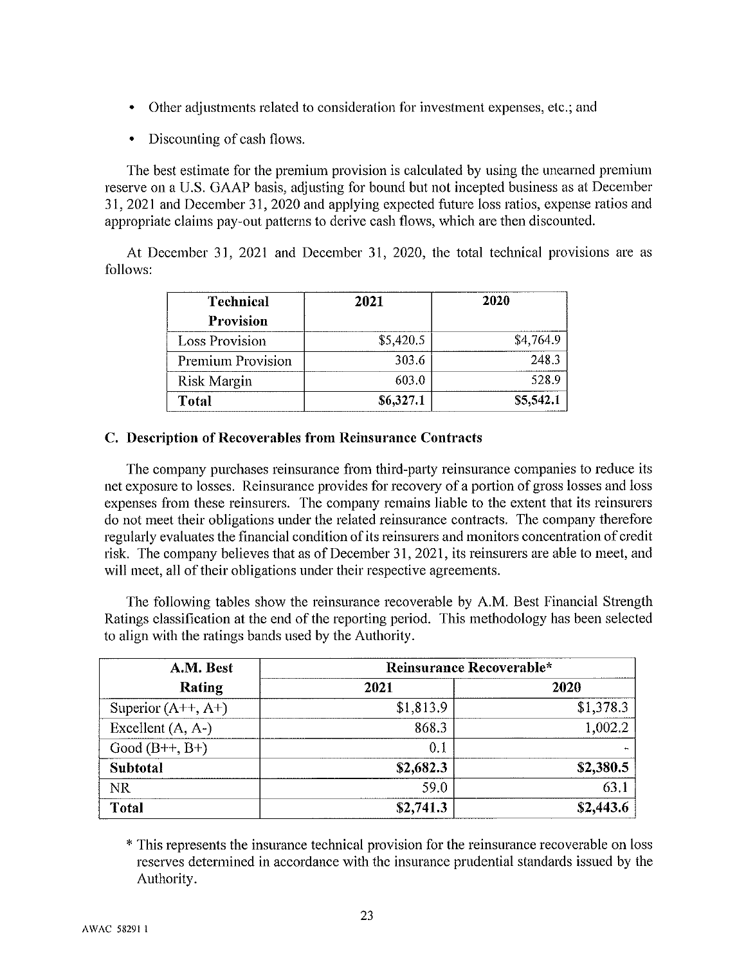- Other adjustments related to consideration for investment expenses, etc.; and
- Discounting of cash flows.

The best estimate for the premium provision is calculated by using the unearned premium reserve on a U.S. GAAP basis, adjusting for bound but not incepted business as at December 31, 2021 and December 31, 2020 and applying expected future loss ratios, expense ratios and appropriate claims pay-out patterns to derive cash flows, which are then discounted.

At December 31, 2021 and December 31, 2020, the total technical provisions are as follows:

| <b>Technical</b>      | 2021      | 2020      |
|-----------------------|-----------|-----------|
| <b>Provision</b>      |           |           |
| <b>Loss Provision</b> | \$5,420.5 | \$4,764.9 |
| Premium Provision     | 303.6     | 248.3     |
| <b>Risk Margin</b>    | 603.0     | 528.9     |
| Total                 | \$6,327.1 | \$5,542.1 |

#### C. Description of Recoverables from Reinsurance Contracts

The company purchases reinsurance from third-party reinsurance companies to reduce its net exposure to losses. Reinsurance provides for recovery of a portion of gross losses and loss expenses from these reinsurers. The company remains liable to the extent that its reinsurers do not meet their obligations under the related reinsurance contracts. The company therefore regularly evaluates the financial condition of its reinsurers and monitors concentration of credit risk. The company believes that as of December 31, 2021, its reinsurers are able to meet, and will meet, all of their obligations under their respective agreements.

The following tables show the reinsurance recoverable by A.M. Best Financial Strength Ratings classification at the end of the reporting period. This methodology has been selected to align with the ratings bands used by the Authority.

| A.M. Best                  | Reinsurance Recoverable* |           |  |
|----------------------------|--------------------------|-----------|--|
| Rating                     | 2021                     | 2020      |  |
| Superior $(A^{++}, A^{+})$ | \$1,813.9                | \$1,378.3 |  |
| Excellent $(A, A-)$        | 868.3                    | 1,002.2   |  |
| Good $(B++, B+)$           | 0.1                      |           |  |
| Subtotal                   | \$2,682.3                | \$2,380.5 |  |
| <b>NR</b>                  | 59.0                     | 63.1      |  |
| <b>Total</b>               | \$2,741.3                | \$2,443.6 |  |

\* This represents the insurance technical provision for the reinsurance recoverable on loss reserves determined in accordance with the insurance prudential standards issued by the Authority.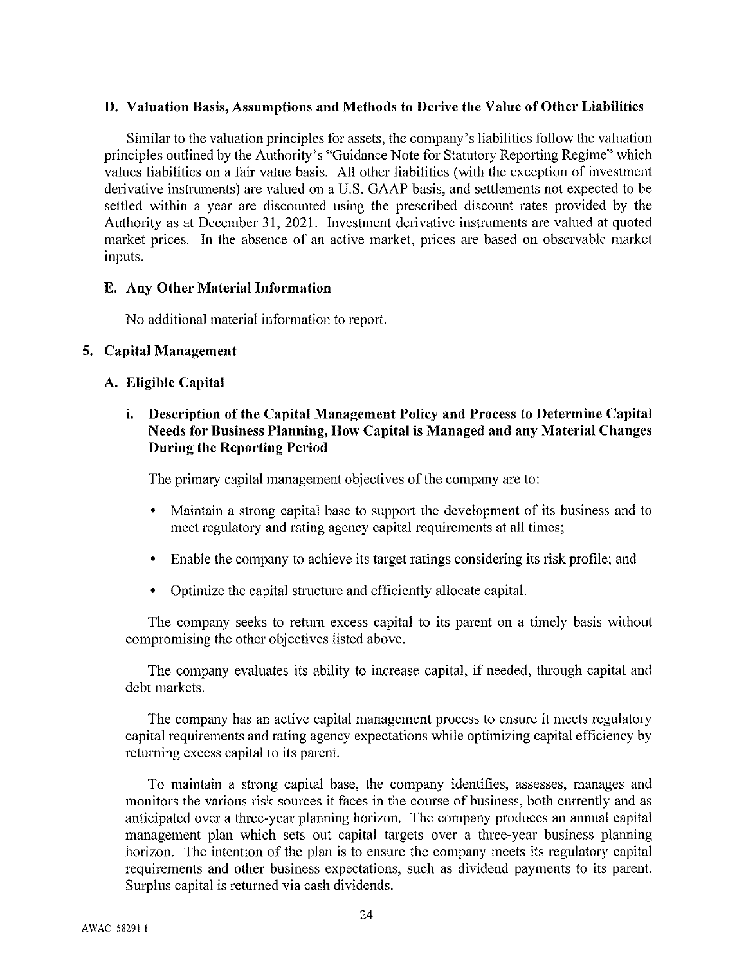#### D. Valuation Basis, Assumptions and Methods to Derive the Value of Other Liabilities

Similar to the valuation principles for assets, the company's liabilities follow the valuation principles outlined by the Authority's "Guidance Note for Statutory Reporting Regime" which values liabilities on a fair value basis. All other liabilities (with the exception of investment derivative instruments) are valued on a U.S. GAAP basis, and settlements not expected to be settled within a year are discounted using the prescribed discount rates provided by the Authority as at December 31, 2021. Investment derivative instruments are valued at quoted market prices. In the absence of an active market, prices are based on observable market inputs.

#### E. Any Other Material Information

No additional material information to report.

#### 5. Capital Management

#### A. Eligible Capital

#### *i.* Description of the Capital Management Policy and Process to Determine Capital Needs for Business Planning, How Capital is Managed and any Material Changes **During the Reporting Period**

The primary capital management objectives of the company are to:

- Maintain a strong capital base to support the development of its business and to meet regulatory and rating agency capital requirements at all times;
- Enable the company to achieve its target ratings considering its risk profile; and
- Optimize the capital structure and efficiently allocate capital.

The company seeks to return excess capital to its parent on a timely basis without compromising the other objectives listed above.

The company evaluates its ability to increase capital, if needed, through capital and debt markets.

The company has an active capital management process to ensure it meets regulatory capital requirements and rating agency expectations while optimizing capital efficiency by returning excess capital to its parent.

To maintain a strong capital base, the company identifies, assesses, manages and monitors the various risk sources it faces in the course of business, both currently and as anticipated over a three-year planning horizon. The company produces an annual capital management plan which sets out capital targets over a three-year business planning horizon. The intention of the plan is to ensure the company meets its regulatory capital requirements and other business expectations, such as dividend payments to its parent. Surplus capital is returned via cash dividends.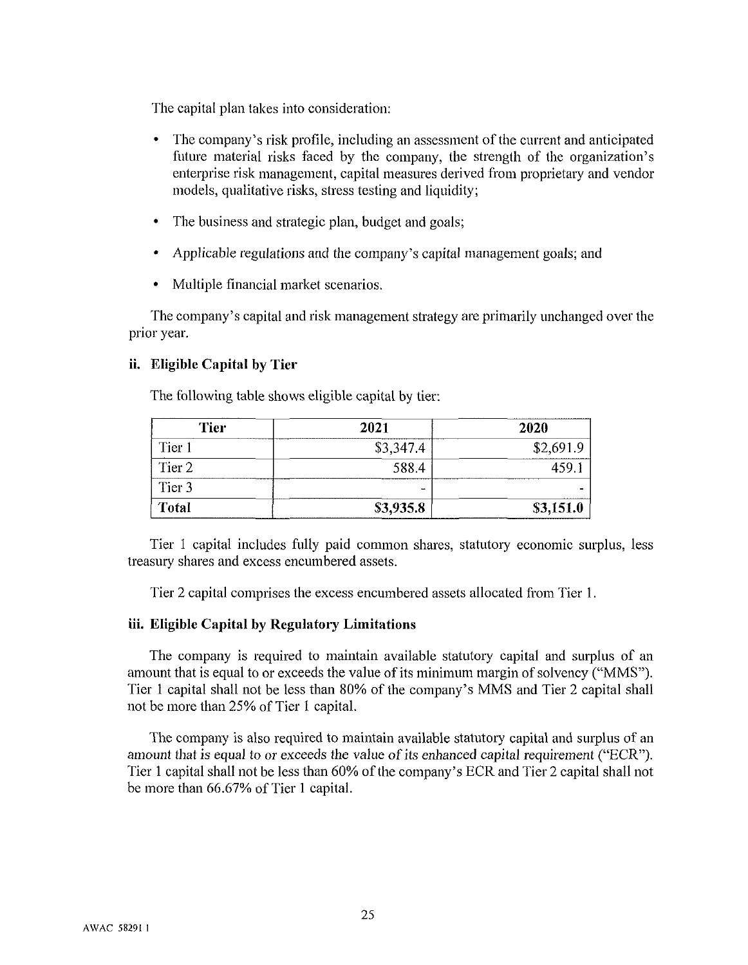The capital plan takes into consideration:

- The company's risk profile, including an assessment of the current and anticipated future material risks faced by the company, the strength of the organization's enterprise risk management, capital measures derived from proprietary and vendor models, qualitative risks, stress testing and liquidity;
- The business and strategic plan, budget and goals;  $\bullet$
- Applicable regulations and the company's capital management goals; and
- Multiple financial market scenarios.

The company's capital and risk management strategy are primarily unchanged over the prior year.

#### ii. Eligible Capital by Tier

The following table shows eligible capital by tier:

| <b>Tier</b>       | 2021      | 2020      |
|-------------------|-----------|-----------|
| Tier 1            | \$3,347.4 | \$2,691.9 |
| Tier <sub>2</sub> | 588.4     | 459.      |
| Tier 3            | -         |           |
| <b>Total</b>      | \$3,935.8 | \$3,151.0 |

Tier 1 capital includes fully paid common shares, statutory economic surplus, less treasury shares and excess encumbered assets.

Tier 2 capital comprises the excess encumbered assets allocated from Tier 1.

#### iii. Eligible Capital by Regulatory Limitations

The company is required to maintain available statutory capital and surplus of an amount that is equal to or exceeds the value of its minimum margin of solvency ("MMS"). Tier 1 capital shall not be less than 80% of the company's MMS and Tier 2 capital shall not be more than 25% of Tier 1 capital.

The company is also required to maintain available statutory capital and surplus of an amount that is equal to or exceeds the value of its enhanced capital requirement ("ECR"). Tier 1 capital shall not be less than 60% of the company's ECR and Tier 2 capital shall not be more than 66.67% of Tier 1 capital.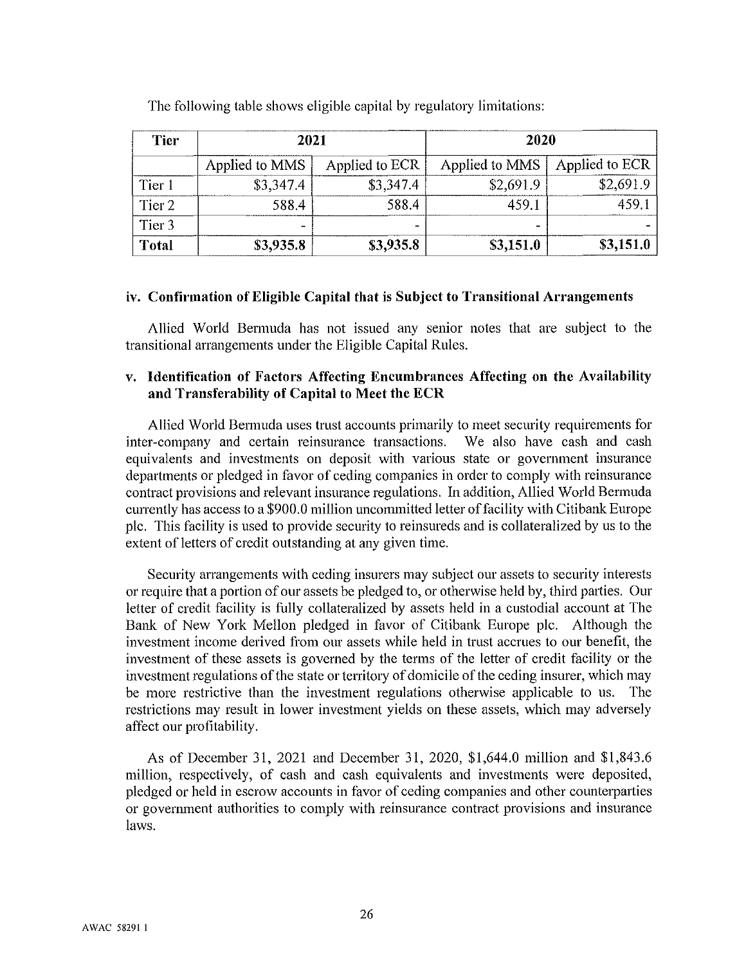| <b>Tier</b><br>2021 |                          |                          | 2020           |                |  |
|---------------------|--------------------------|--------------------------|----------------|----------------|--|
|                     | Applied to MMS           | Applied to ECR           | Applied to MMS | Applied to ECR |  |
| Tier 1              | \$3,347.4                | \$3,347.4                | \$2,691.9      | \$2,691.9      |  |
| Tier 2              | 588.4                    | 588.4                    | 459.1          | 459.1          |  |
| Tier <sub>3</sub>   | $\overline{\phantom{a}}$ | $\overline{\phantom{a}}$ |                |                |  |
| <b>Total</b>        | \$3,935.8                | \$3,935.8                | \$3,151.0      | \$3,151.0      |  |

The following table shows eligible capital by regulatory limitations:

#### iv. Confirmation of Eligible Capital that is Subject to Transitional Arrangements

Allied World Bermuda has not issued any senior notes that are subject to the transitional arrangements under the Eligible Capital Rules.

#### v. Identification of Factors Affecting Encumbrances Affecting on the Availability and Transferability of Capital to Meet the ECR

Allied World Bermuda uses trust accounts primarily to meet security requirements for inter-company and certain reinsurance transactions. We also have cash and cash equivalents and investments on deposit with various state or government insurance departments or pledged in favor of ceding companies in order to comply with reinsurance contract provisions and relevant insurance regulations. In addition, Allied World Bermuda currently has access to a \$900.0 million uncommitted letter of facility with Citibank Europe plc. This facility is used to provide security to reinsureds and is collateralized by us to the extent of letters of credit outstanding at any given time.

Security arrangements with ceding insurers may subject our assets to security interests or require that a portion of our assets be pledged to, or otherwise held by, third parties. Our letter of credit facility is fully collateralized by assets held in a custodial account at The Bank of New York Mellon pledged in favor of Citibank Europe plc. Although the investment income derived from our assets while held in trust accrues to our benefit, the investment of these assets is governed by the terms of the letter of credit facility or the investment regulations of the state or territory of domicile of the ceding insurer, which may be more restrictive than the investment regulations otherwise applicable to us. The restrictions may result in lower investment yields on these assets, which may adversely affect our profitability.

As of December 31, 2021 and December 31, 2020, \$1,644.0 million and \$1,843.6 million, respectively, of cash and cash equivalents and investments were deposited, pledged or held in escrow accounts in favor of ceding companies and other counterparties or government authorities to comply with reinsurance contract provisions and insurance laws.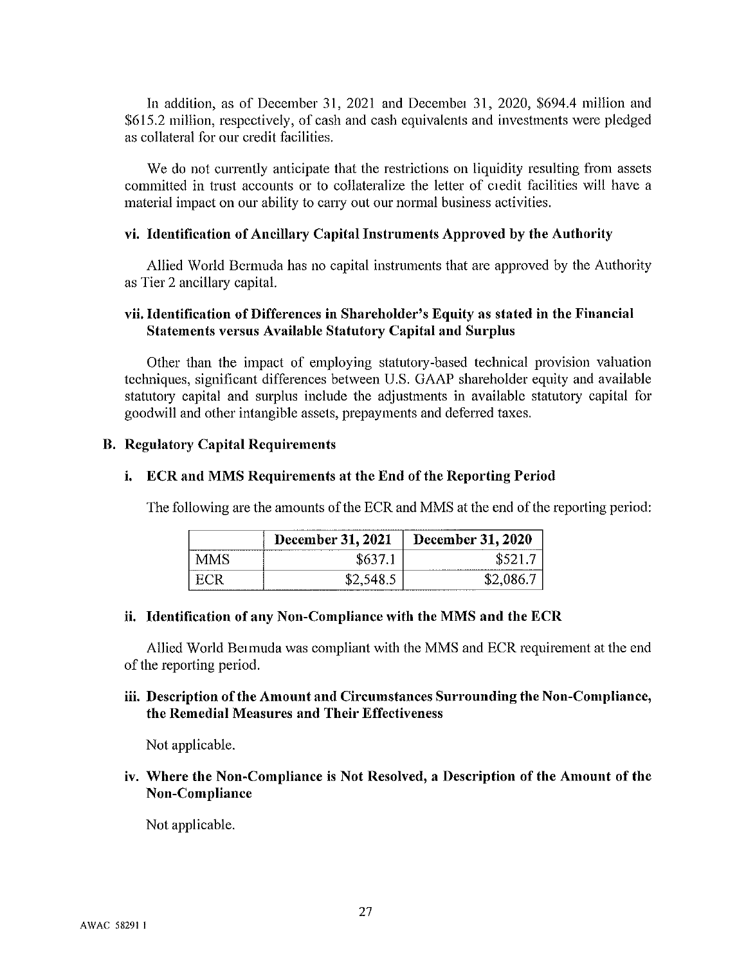In addition, as of December 31, 2021 and December 31, 2020, \$694.4 million and \$615.2 million, respectively, of cash and cash equivalents and investments were pledged as collateral for our credit facilities.

We do not currently anticipate that the restrictions on liquidity resulting from assets committed in trust accounts or to collateralize the letter of ciedit facilities will have a material impact on our ability to carry out our normal business activities.

#### vi. Identification of Ancillary Capital Instruments Approved by the Authority

Allied World Bermuda has no capital instruments that are approved by the Authority as Tier 2 ancillary capital.

#### vii. Identification of Differences in Shareholder's Equity as stated in the Financial **Statements versus Available Statutory Capital and Surplus**

Other than the impact of employing statutory-based technical provision valuation techniques, significant differences between U.S. GAAP shareholder equity and available statutory capital and surplus include the adjustments in available statutory capital for goodwill and other intangible assets, prepayments and deferred taxes.

#### **B. Regulatory Capital Requirements**

#### i. ECR and MMS Requirements at the End of the Reporting Period

The following are the amounts of the ECR and MMS at the end of the reporting period:

|          | December 31, 2021 | December 31, 2020 |
|----------|-------------------|-------------------|
| 84 N.A S | \$637             | \$521.            |
|          |                   | \$2,086.7         |

#### ii. Identification of any Non-Compliance with the MMS and the ECR

Allied World Bermuda was compliant with the MMS and ECR requirement at the end of the reporting period.

#### iii. Description of the Amount and Circumstances Surrounding the Non-Compliance, the Remedial Measures and Their Effectiveness

Not applicable.

#### iv. Where the Non-Compliance is Not Resolved, a Description of the Amount of the Non-Compliance

Not applicable.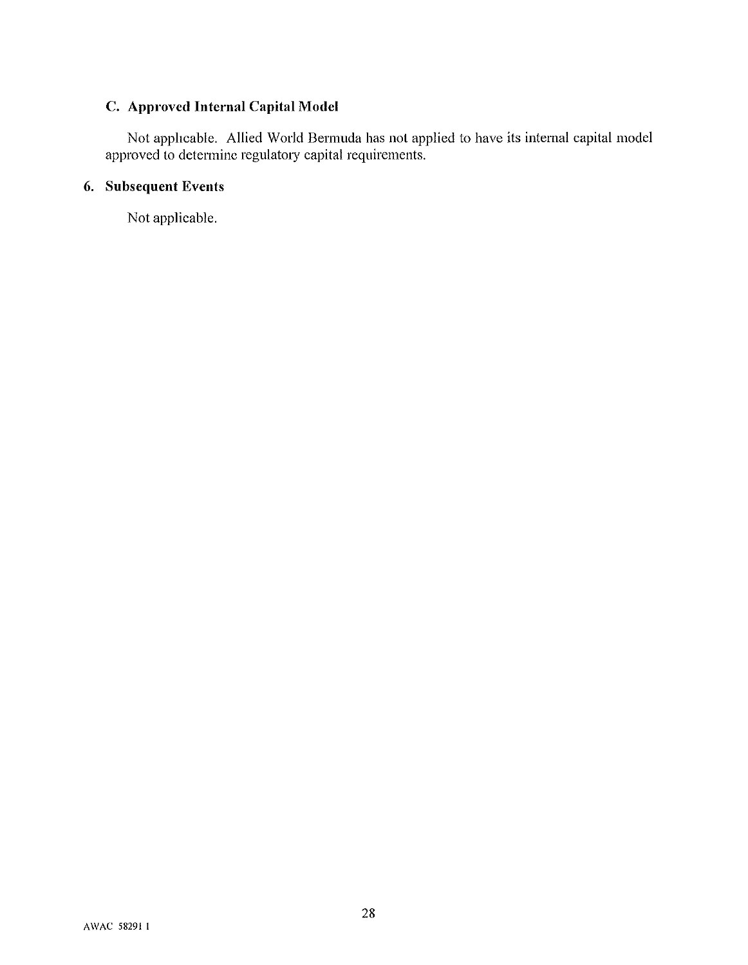# C. Approved Internal Capital Model

Not applicable. Allied World Bermuda has not applied to have its internal capital model approved to determine regulatory capital requirements.

#### 6. Subsequent Events

Not applicable.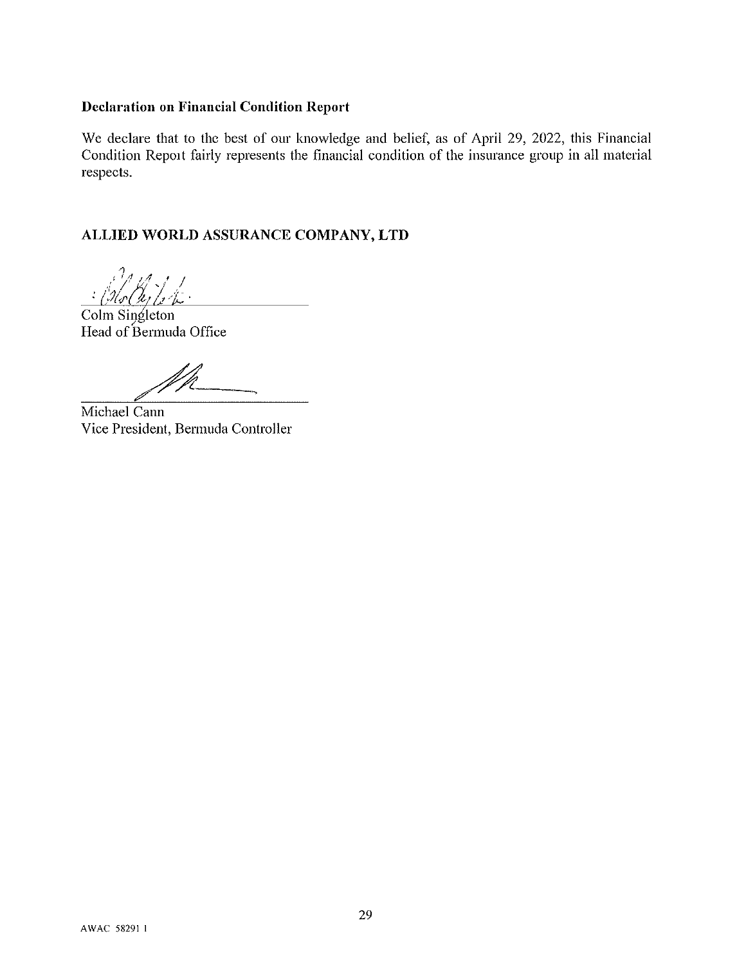### **Declaration on Financial Condition Report**

We declare that to the best of our knowledge and belief, as of April 29, 2022, this Financial Condition Report fairly represents the financial condition of the insurance group in all material respects.

### ALLIED WORLD ASSURANCE COMPANY, LTD

ki | 1<br>h | 1 1 -

Colm Singleton Head of Bermuda Office

Michael Cann Vice President, Bermuda Controller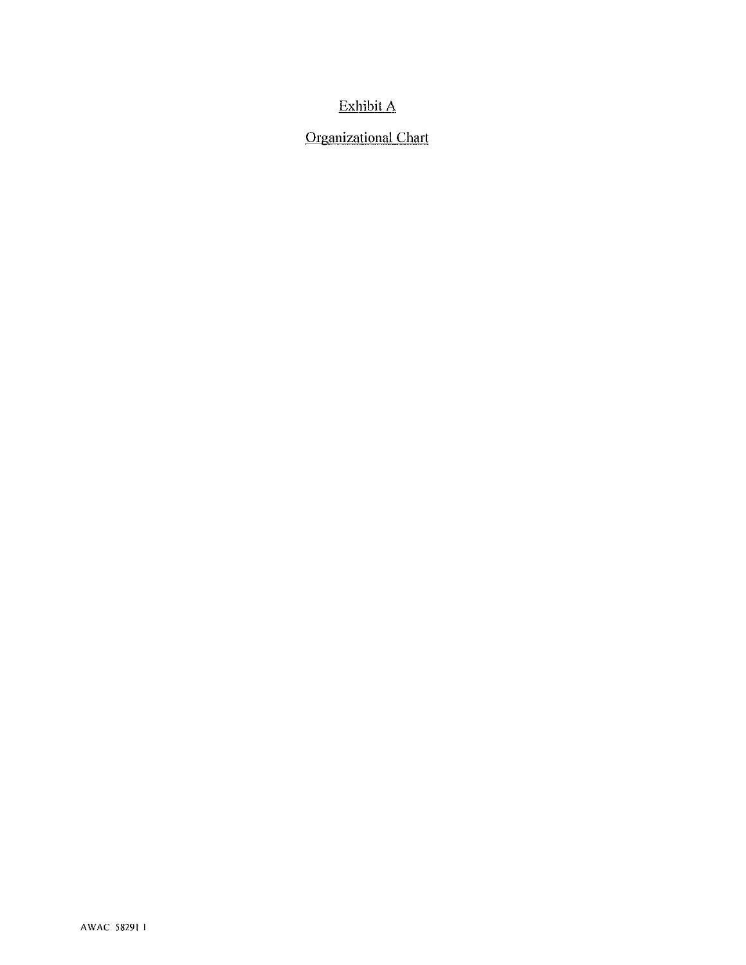## Exhibit A

# **Organizational Chart**